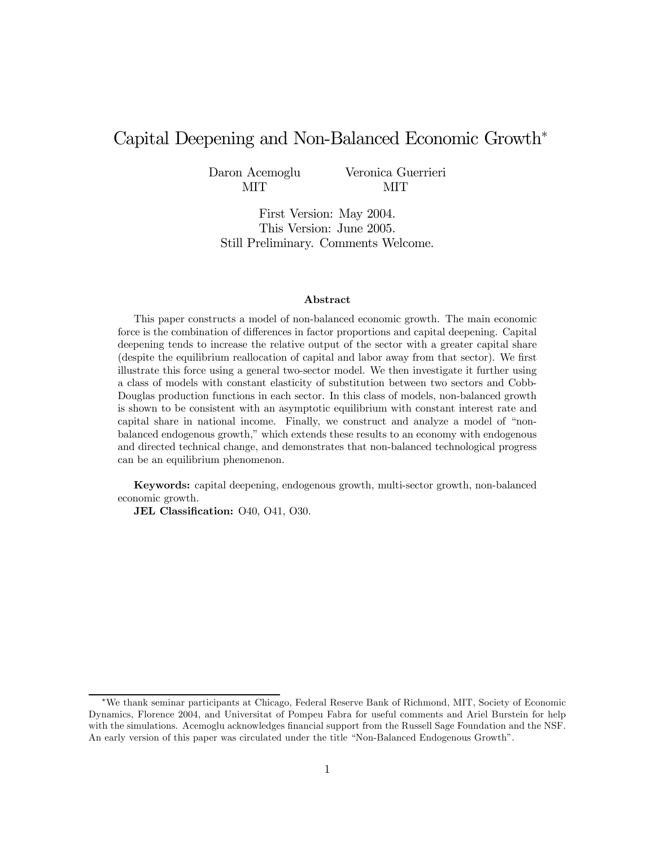# Capital Deepening and Non-Balanced Economic Growth<sup>∗</sup>

Daron Acemoglu MIT

Veronica Guerrieri MIT

First Version: May 2004. This Version: June 2005. Still Preliminary. Comments Welcome.

#### Abstract

This paper constructs a model of non-balanced economic growth. The main economic force is the combination of differences in factor proportions and capital deepening. Capital deepening tends to increase the relative output of the sector with a greater capital share (despite the equilibrium reallocation of capital and labor away from that sector). We first illustrate this force using a general two-sector model. We then investigate it further using a class of models with constant elasticity of substitution between two sectors and Cobb-Douglas production functions in each sector. In this class of models, non-balanced growth is shown to be consistent with an asymptotic equilibrium with constant interest rate and capital share in national income. Finally, we construct and analyze a model of "nonbalanced endogenous growth," which extends these results to an economy with endogenous and directed technical change, and demonstrates that non-balanced technological progress can be an equilibrium phenomenon.

Keywords: capital deepening, endogenous growth, multi-sector growth, non-balanced economic growth.

JEL Classification: 040, 041, 030.

<sup>∗</sup>We thank seminar participants at Chicago, Federal Reserve Bank of Richmond, MIT, Society of Economic Dynamics, Florence 2004, and Universitat of Pompeu Fabra for useful comments and Ariel Burstein for help with the simulations. Acemoglu acknowledges financial support from the Russell Sage Foundation and the NSF. An early version of this paper was circulated under the title "Non-Balanced Endogenous Growth".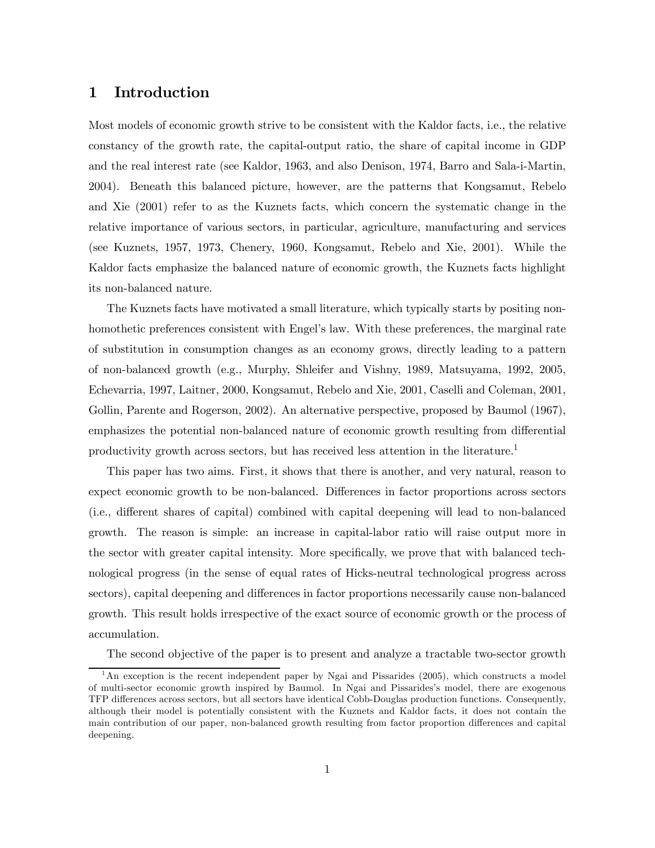## 1 Introduction

Most models of economic growth strive to be consistent with the Kaldor facts, i.e., the relative constancy of the growth rate, the capital-output ratio, the share of capital income in GDP and the real interest rate (see Kaldor, 1963, and also Denison, 1974, Barro and Sala-i-Martin, 2004). Beneath this balanced picture, however, are the patterns that Kongsamut, Rebelo and Xie (2001) refer to as the Kuznets facts, which concern the systematic change in the relative importance of various sectors, in particular, agriculture, manufacturing and services (see Kuznets, 1957, 1973, Chenery, 1960, Kongsamut, Rebelo and Xie, 2001). While the Kaldor facts emphasize the balanced nature of economic growth, the Kuznets facts highlight its non-balanced nature.

The Kuznets facts have motivated a small literature, which typically starts by positing nonhomothetic preferences consistent with Engel's law. With these preferences, the marginal rate of substitution in consumption changes as an economy grows, directly leading to a pattern of non-balanced growth (e.g., Murphy, Shleifer and Vishny, 1989, Matsuyama, 1992, 2005, Echevarria, 1997, Laitner, 2000, Kongsamut, Rebelo and Xie, 2001, Caselli and Coleman, 2001, Gollin, Parente and Rogerson, 2002). An alternative perspective, proposed by Baumol (1967), emphasizes the potential non-balanced nature of economic growth resulting from differential productivity growth across sectors, but has received less attention in the literature.<sup>1</sup>

This paper has two aims. First, it shows that there is another, and very natural, reason to expect economic growth to be non-balanced. Differences in factor proportions across sectors (i.e., different shares of capital) combined with capital deepening will lead to non-balanced growth. The reason is simple: an increase in capital-labor ratio will raise output more in the sector with greater capital intensity. More specifically, we prove that with balanced technological progress (in the sense of equal rates of Hicks-neutral technological progress across sectors), capital deepening and differences in factor proportions necessarily cause non-balanced growth. This result holds irrespective of the exact source of economic growth or the process of accumulation.

The second objective of the paper is to present and analyze a tractable two-sector growth

<sup>&</sup>lt;sup>1</sup>An exception is the recent independent paper by Ngai and Pissarides (2005), which constructs a model of multi-sector economic growth inspired by Baumol. In Ngai and Pissarides's model, there are exogenous TFP differences across sectors, but all sectors have identical Cobb-Douglas production functions. Consequently, although their model is potentially consistent with the Kuznets and Kaldor facts, it does not contain the main contribution of our paper, non-balanced growth resulting from factor proportion differences and capital deepening.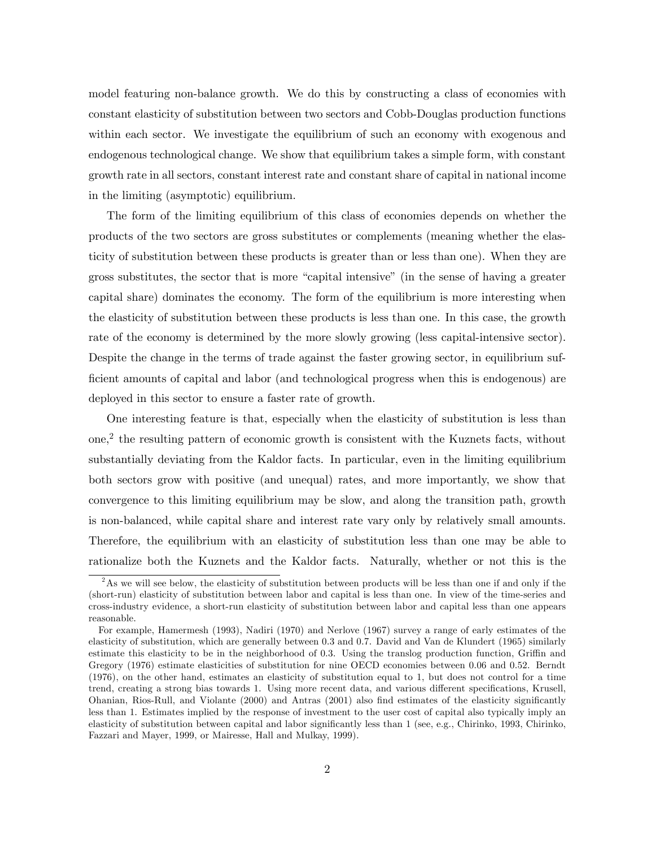model featuring non-balance growth. We do this by constructing a class of economies with constant elasticity of substitution between two sectors and Cobb-Douglas production functions within each sector. We investigate the equilibrium of such an economy with exogenous and endogenous technological change. We show that equilibrium takes a simple form, with constant growth rate in all sectors, constant interest rate and constant share of capital in national income in the limiting (asymptotic) equilibrium.

The form of the limiting equilibrium of this class of economies depends on whether the products of the two sectors are gross substitutes or complements (meaning whether the elasticity of substitution between these products is greater than or less than one). When they are gross substitutes, the sector that is more "capital intensive" (in the sense of having a greater capital share) dominates the economy. The form of the equilibrium is more interesting when the elasticity of substitution between these products is less than one. In this case, the growth rate of the economy is determined by the more slowly growing (less capital-intensive sector). Despite the change in the terms of trade against the faster growing sector, in equilibrium sufficient amounts of capital and labor (and technological progress when this is endogenous) are deployed in this sector to ensure a faster rate of growth.

One interesting feature is that, especially when the elasticity of substitution is less than one,<sup>2</sup> the resulting pattern of economic growth is consistent with the Kuznets facts, without substantially deviating from the Kaldor facts. In particular, even in the limiting equilibrium both sectors grow with positive (and unequal) rates, and more importantly, we show that convergence to this limiting equilibrium may be slow, and along the transition path, growth is non-balanced, while capital share and interest rate vary only by relatively small amounts. Therefore, the equilibrium with an elasticity of substitution less than one may be able to rationalize both the Kuznets and the Kaldor facts. Naturally, whether or not this is the

 $2<sup>2</sup>$ As we will see below, the elasticity of substitution between products will be less than one if and only if the (short-run) elasticity of substitution between labor and capital is less than one. In view of the time-series and cross-industry evidence, a short-run elasticity of substitution between labor and capital less than one appears reasonable.

For example, Hamermesh (1993), Nadiri (1970) and Nerlove (1967) survey a range of early estimates of the elasticity of substitution, which are generally between 0.3 and 0.7. David and Van de Klundert (1965) similarly estimate this elasticity to be in the neighborhood of 0.3. Using the translog production function, Griffin and Gregory (1976) estimate elasticities of substitution for nine OECD economies between 0.06 and 0.52. Berndt (1976), on the other hand, estimates an elasticity of substitution equal to 1, but does not control for a time trend, creating a strong bias towards 1. Using more recent data, and various different specifications, Krusell, Ohanian, Rios-Rull, and Violante (2000) and Antras (2001) also find estimates of the elasticity significantly less than 1. Estimates implied by the response of investment to the user cost of capital also typically imply an elasticity of substitution between capital and labor significantly less than 1 (see, e.g., Chirinko, 1993, Chirinko, Fazzari and Mayer, 1999, or Mairesse, Hall and Mulkay, 1999).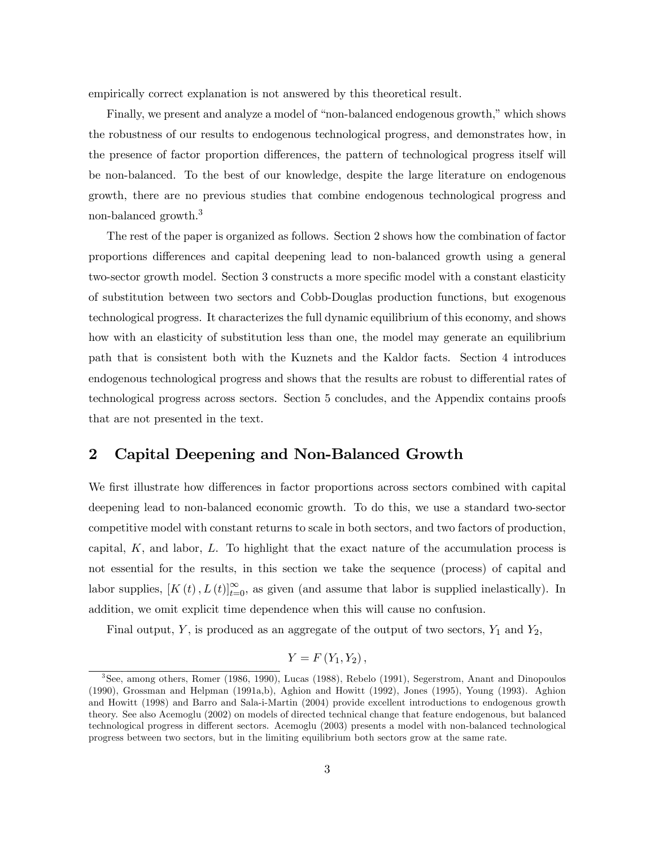empirically correct explanation is not answered by this theoretical result.

Finally, we present and analyze a model of "non-balanced endogenous growth," which shows the robustness of our results to endogenous technological progress, and demonstrates how, in the presence of factor proportion differences, the pattern of technological progress itself will be non-balanced. To the best of our knowledge, despite the large literature on endogenous growth, there are no previous studies that combine endogenous technological progress and non-balanced growth.3

The rest of the paper is organized as follows. Section 2 shows how the combination of factor proportions differences and capital deepening lead to non-balanced growth using a general two-sector growth model. Section 3 constructs a more specific model with a constant elasticity of substitution between two sectors and Cobb-Douglas production functions, but exogenous technological progress. It characterizes the full dynamic equilibrium of this economy, and shows how with an elasticity of substitution less than one, the model may generate an equilibrium path that is consistent both with the Kuznets and the Kaldor facts. Section 4 introduces endogenous technological progress and shows that the results are robust to differential rates of technological progress across sectors. Section 5 concludes, and the Appendix contains proofs that are not presented in the text.

# 2 Capital Deepening and Non-Balanced Growth

We first illustrate how differences in factor proportions across sectors combined with capital deepening lead to non-balanced economic growth. To do this, we use a standard two-sector competitive model with constant returns to scale in both sectors, and two factors of production, capital,  $K$ , and labor,  $L$ . To highlight that the exact nature of the accumulation process is not essential for the results, in this section we take the sequence (process) of capital and labor supplies,  $[K(t), L(t)]_{t=0}^{\infty}$ , as given (and assume that labor is supplied inelastically). In addition, we omit explicit time dependence when this will cause no confusion.

Final output, Y, is produced as an aggregate of the output of two sectors,  $Y_1$  and  $Y_2$ ,

$$
Y=F(Y_1,Y_2),
$$

<sup>3</sup>See, among others, Romer (1986, 1990), Lucas (1988), Rebelo (1991), Segerstrom, Anant and Dinopoulos (1990), Grossman and Helpman (1991a,b), Aghion and Howitt (1992), Jones (1995), Young (1993). Aghion and Howitt (1998) and Barro and Sala-i-Martin (2004) provide excellent introductions to endogenous growth theory. See also Acemoglu (2002) on models of directed technical change that feature endogenous, but balanced technological progress in different sectors. Acemoglu (2003) presents a model with non-balanced technological progress between two sectors, but in the limiting equilibrium both sectors grow at the same rate.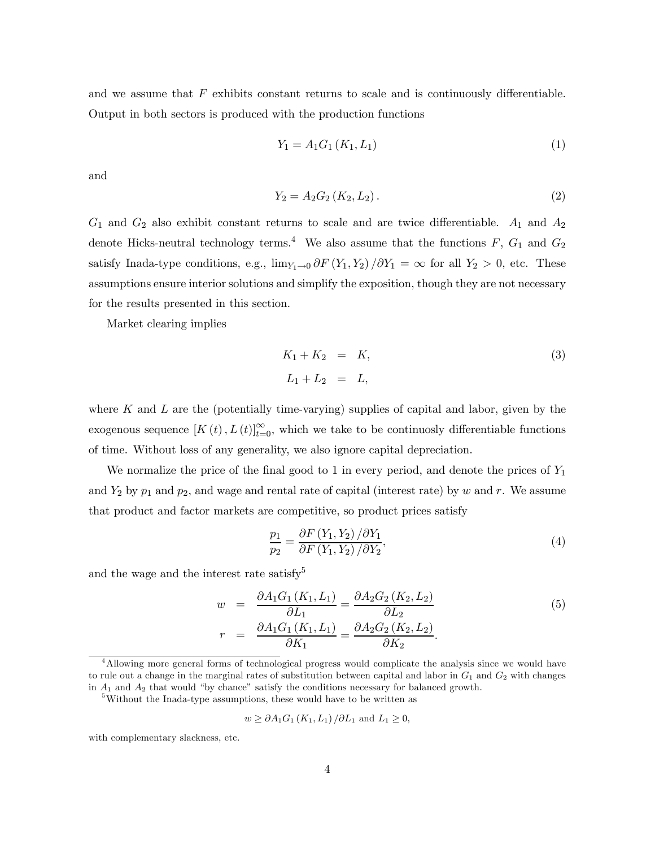and we assume that  $F$  exhibits constant returns to scale and is continuously differentiable. Output in both sectors is produced with the production functions

$$
Y_1 = A_1 G_1 (K_1, L_1) \tag{1}
$$

and

$$
Y_2 = A_2 G_2 (K_2, L_2).
$$
 (2)

 $G_1$  and  $G_2$  also exhibit constant returns to scale and are twice differentiable.  $A_1$  and  $A_2$ denote Hicks-neutral technology terms.<sup>4</sup> We also assume that the functions  $F, G_1$  and  $G_2$ satisfy Inada-type conditions, e.g.,  $\lim_{Y_1\to 0} \partial F(Y_1, Y_2) / \partial Y_1 = \infty$  for all  $Y_2 > 0$ , etc. These assumptions ensure interior solutions and simplify the exposition, though they are not necessary for the results presented in this section.

Market clearing implies

$$
K_1 + K_2 = K,
$$
  
\n
$$
L_1 + L_2 = L,
$$
\n(3)

where K and L are the (potentially time-varying) supplies of capital and labor, given by the exogenous sequence  $[K(t), L(t)]_{t=0}^{\infty}$ , which we take to be continuosly differentiable functions of time. Without loss of any generality, we also ignore capital depreciation.

We normalize the price of the final good to 1 in every period, and denote the prices of  $Y_1$ and  $Y_2$  by  $p_1$  and  $p_2$ , and wage and rental rate of capital (interest rate) by w and r. We assume that product and factor markets are competitive, so product prices satisfy

$$
\frac{p_1}{p_2} = \frac{\partial F\left(Y_1, Y_2\right)/\partial Y_1}{\partial F\left(Y_1, Y_2\right)/\partial Y_2},\tag{4}
$$

and the wage and the interest rate satisfy<sup>5</sup>

$$
w = \frac{\partial A_1 G_1 (K_1, L_1)}{\partial L_1} = \frac{\partial A_2 G_2 (K_2, L_2)}{\partial L_2}
$$
  
\n
$$
r = \frac{\partial A_1 G_1 (K_1, L_1)}{\partial K_1} = \frac{\partial A_2 G_2 (K_2, L_2)}{\partial K_2}.
$$
\n(5)

$$
w \geq \partial A_1 G_1(K_1, L_1) / \partial L_1
$$
 and  $L_1 \geq 0$ ,

with complementary slackness, etc.

<sup>&</sup>lt;sup>4</sup>Allowing more general forms of technological progress would complicate the analysis since we would have to rule out a change in the marginal rates of substitution between capital and labor in  $G_1$  and  $G_2$  with changes in  $A_1$  and  $A_2$  that would "by chance" satisfy the conditions necessary for balanced growth.

<sup>&</sup>lt;sup>5</sup>Without the Inada-type assumptions, these would have to be written as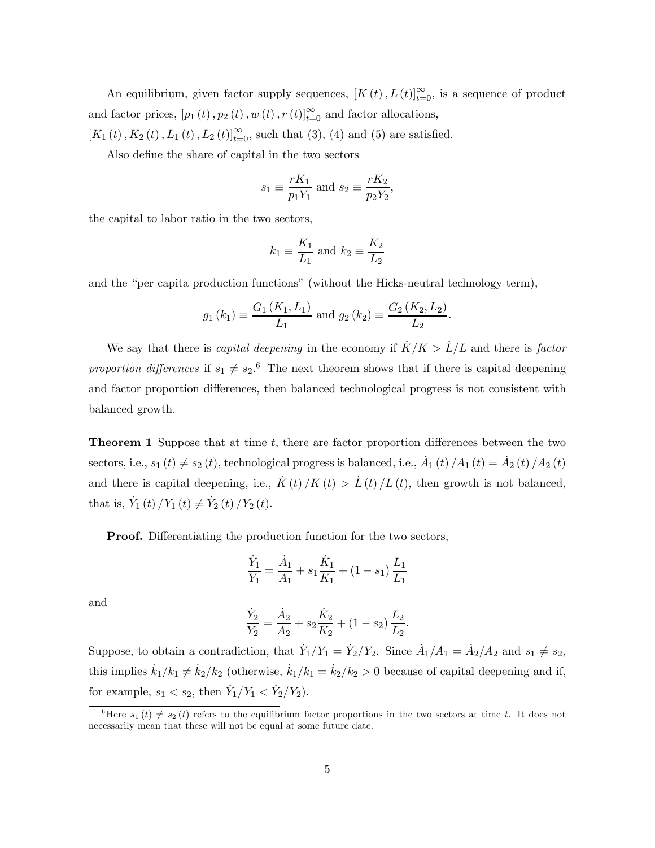An equilibrium, given factor supply sequences,  $[K(t), L(t)]_{t=0}^{\infty}$ , is a sequence of product and factor prices,  $[p_1(t), p_2(t), w(t), r(t)]_{t=0}^{\infty}$  and factor allocations,  $[K_1(t), K_2(t), L_1(t), L_2(t)]_{t=0}^{\infty}$ , such that (3), (4) and (5) are satisfied.

Also define the share of capital in the two sectors

$$
s_1 \equiv \frac{rK_1}{p_1Y_1}
$$
 and  $s_2 \equiv \frac{rK_2}{p_2Y_2}$ ,

the capital to labor ratio in the two sectors,

$$
k_1 \equiv \frac{K_1}{L_1} \text{ and } k_2 \equiv \frac{K_2}{L_2}
$$

and the "per capita production functions" (without the Hicks-neutral technology term),

$$
g_1(k_1) \equiv \frac{G_1(K_1, L_1)}{L_1}
$$
 and  $g_2(k_2) \equiv \frac{G_2(K_2, L_2)}{L_2}$ 

.

We say that there is *capital deepening* in the economy if  $\dot{K}/K > \dot{L}/L$  and there is *factor* proportion differences if  $s_1 \neq s_2$ .<sup>6</sup> The next theorem shows that if there is capital deepening and factor proportion differences, then balanced technological progress is not consistent with balanced growth.

**Theorem 1** Suppose that at time  $t$ , there are factor proportion differences between the two sectors, i.e.,  $s_1(t) \neq s_2(t)$ , technological progress is balanced, i.e.,  $\dot{A}_1(t)/A_1(t) = \dot{A}_2(t)/A_2(t)$ and there is capital deepening, i.e.,  $\dot{K}(t)/K(t) > \dot{L}(t)/L(t)$ , then growth is not balanced, that is,  $\dot{Y}_1(t)/Y_1(t) \neq \dot{Y}_2(t)/Y_2(t)$ .

**Proof.** Differentiating the production function for the two sectors,

$$
\frac{\dot{Y}_1}{Y_1} = \frac{\dot{A}_1}{A_1} + s_1 \frac{\dot{K}_1}{K_1} + (1 - s_1) \frac{L_1}{L_1}
$$

and

$$
\frac{\dot{Y}_2}{Y_2} = \frac{\dot{A}_2}{A_2} + s_2 \frac{\dot{K}_2}{K_2} + (1 - s_2) \frac{L_2}{L_2}.
$$

Suppose, to obtain a contradiction, that  $\dot{Y}_1/Y_1 = \dot{Y}_2/Y_2$ . Since  $\dot{A}_1/A_1 = \dot{A}_2/A_2$  and  $s_1 \neq s_2$ , this implies  $k_1/k_1 \neq k_2/k_2$  (otherwise,  $k_1/k_1 = k_2/k_2 > 0$  because of capital deepening and if, for example,  $s_1 < s_2$ , then  $\dot{Y}_1/Y_1 < \dot{Y}_2/Y_2$ .

<sup>&</sup>lt;sup>6</sup>Here  $s_1(t) \neq s_2(t)$  refers to the equilibrium factor proportions in the two sectors at time t. It does not necessarily mean that these will not be equal at some future date.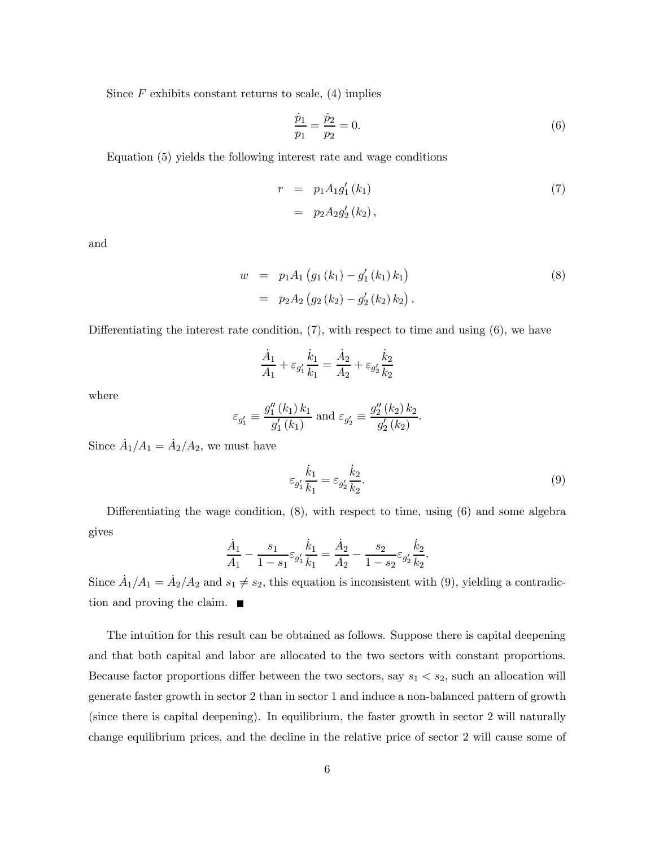Since  $F$  exhibits constant returns to scale, (4) implies

$$
\frac{\dot{p}_1}{p_1} = \frac{\dot{p}_2}{p_2} = 0.
$$
\n(6)

Equation (5) yields the following interest rate and wage conditions

$$
r = p_1 A_1 g'_1 (k_1)
$$
  
=  $p_2 A_2 g'_2 (k_2)$ , (7)

and

$$
w = p_1 A_1 (g_1 (k_1) - g'_1 (k_1) k_1)
$$
  
=  $p_2 A_2 (g_2 (k_2) - g'_2 (k_2) k_2).$  (8)

Differentiating the interest rate condition,  $(7)$ , with respect to time and using  $(6)$ , we have

$$
\frac{\dot{A}_1}{A_1} + \varepsilon_{g_1'} \frac{\dot{k}_1}{k_1} = \frac{\dot{A}_2}{A_2} + \varepsilon_{g_2'} \frac{\dot{k}_2}{k_2}
$$

where

$$
\varepsilon_{g'_1} \equiv \frac{g''_1(k_1) k_1}{g'_1(k_1)}
$$
 and  $\varepsilon_{g'_2} \equiv \frac{g''_2(k_2) k_2}{g'_2(k_2)}$ .

Since  $\dot{A}_1/A_1 = \dot{A}_2/A_2$ , we must have

$$
\varepsilon_{g_1'} \frac{\dot{k}_1}{k_1} = \varepsilon_{g_2'} \frac{\dot{k}_2}{k_2}.\tag{9}
$$

Differentiating the wage condition, (8), with respect to time, using (6) and some algebra gives

$$
\frac{\dot{A}_1}{A_1} - \frac{s_1}{1 - s_1} \varepsilon_{g_1'} \frac{\dot{k}_1}{k_1} = \frac{\dot{A}_2}{A_2} - \frac{s_2}{1 - s_2} \varepsilon_{g_2'} \frac{\dot{k}_2}{k_2}.
$$

Since  $A_1/A_1 = A_2/A_2$  and  $s_1 \neq s_2$ , this equation is inconsistent with (9), yielding a contradiction and proving the claim.  $\blacksquare$ 

The intuition for this result can be obtained as follows. Suppose there is capital deepening and that both capital and labor are allocated to the two sectors with constant proportions. Because factor proportions differ between the two sectors, say  $s_1 < s_2$ , such an allocation will generate faster growth in sector 2 than in sector 1 and induce a non-balanced pattern of growth (since there is capital deepening). In equilibrium, the faster growth in sector 2 will naturally change equilibrium prices, and the decline in the relative price of sector 2 will cause some of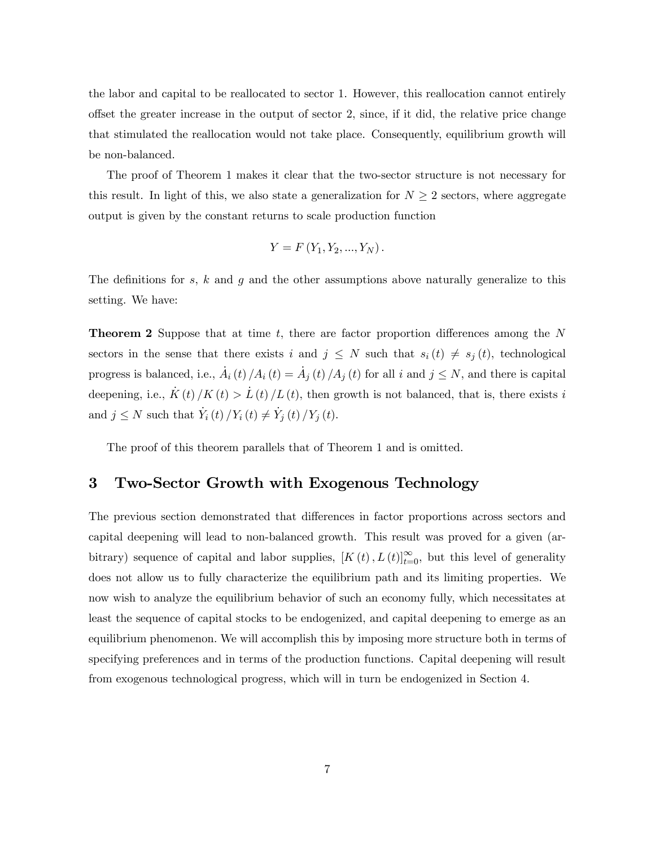the labor and capital to be reallocated to sector 1. However, this reallocation cannot entirely offset the greater increase in the output of sector 2, since, if it did, the relative price change that stimulated the reallocation would not take place. Consequently, equilibrium growth will be non-balanced.

The proof of Theorem 1 makes it clear that the two-sector structure is not necessary for this result. In light of this, we also state a generalization for  $N \geq 2$  sectors, where aggregate output is given by the constant returns to scale production function

$$
Y = F(Y_1, Y_2, ..., Y_N).
$$

The definitions for s, k and g and the other assumptions above naturally generalize to this setting. We have:

**Theorem 2** Suppose that at time  $t$ , there are factor proportion differences among the  $N$ sectors in the sense that there exists i and  $j \leq N$  such that  $s_i(t) \neq s_j(t)$ , technological progress is balanced, i.e.,  $\dot{A}_i(t)/A_i(t) = \dot{A}_j(t)/A_j(t)$  for all i and  $j \leq N$ , and there is capital deepening, i.e.,  $\dot{K}(t)/K(t) > L(t)/L(t)$ , then growth is not balanced, that is, there exists i and  $j \leq N$  such that  $\dot{Y}_i(t) / Y_i(t) \neq \dot{Y}_j(t) / Y_j(t)$ .

The proof of this theorem parallels that of Theorem 1 and is omitted.

# 3 Two-Sector Growth with Exogenous Technology

The previous section demonstrated that differences in factor proportions across sectors and capital deepening will lead to non-balanced growth. This result was proved for a given (arbitrary) sequence of capital and labor supplies,  $[K(t), L(t)]_{t=0}^{\infty}$ , but this level of generality does not allow us to fully characterize the equilibrium path and its limiting properties. We now wish to analyze the equilibrium behavior of such an economy fully, which necessitates at least the sequence of capital stocks to be endogenized, and capital deepening to emerge as an equilibrium phenomenon. We will accomplish this by imposing more structure both in terms of specifying preferences and in terms of the production functions. Capital deepening will result from exogenous technological progress, which will in turn be endogenized in Section 4.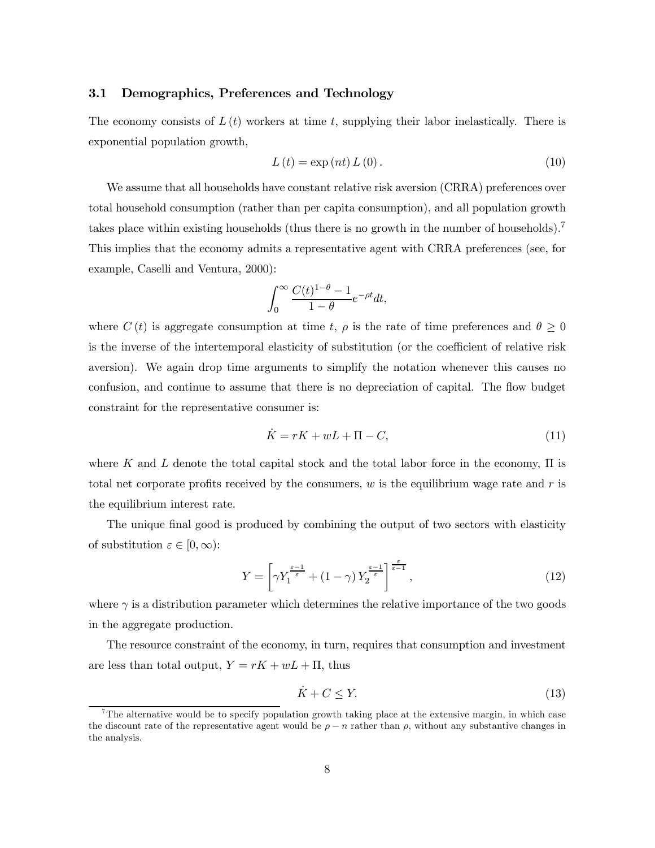#### 3.1 Demographics, Preferences and Technology

The economy consists of  $L(t)$  workers at time t, supplying their labor inelastically. There is exponential population growth,

$$
L(t) = \exp\left(nt\right)L\left(0\right). \tag{10}
$$

We assume that all households have constant relative risk aversion (CRRA) preferences over total household consumption (rather than per capita consumption), and all population growth takes place within existing households (thus there is no growth in the number of households).<sup>7</sup> This implies that the economy admits a representative agent with CRRA preferences (see, for example, Caselli and Ventura, 2000):

$$
\int_0^\infty \frac{C(t)^{1-\theta}-1}{1-\theta}e^{-\rho t}dt,
$$

where  $C(t)$  is aggregate consumption at time t,  $\rho$  is the rate of time preferences and  $\theta \geq 0$ is the inverse of the intertemporal elasticity of substitution (or the coefficient of relative risk aversion). We again drop time arguments to simplify the notation whenever this causes no confusion, and continue to assume that there is no depreciation of capital. The flow budget constraint for the representative consumer is:

$$
\dot{K} = rK + wL + \Pi - C,\tag{11}
$$

where K and L denote the total capital stock and the total labor force in the economy,  $\Pi$  is total net corporate profits received by the consumers,  $w$  is the equilibrium wage rate and  $r$  is the equilibrium interest rate.

The unique final good is produced by combining the output of two sectors with elasticity of substitution  $\varepsilon \in [0,\infty)$ :

$$
Y = \left[ \gamma Y_1^{\frac{\varepsilon - 1}{\varepsilon}} + (1 - \gamma) Y_2^{\frac{\varepsilon - 1}{\varepsilon}} \right]^{\frac{\varepsilon}{\varepsilon - 1}},\tag{12}
$$

where  $\gamma$  is a distribution parameter which determines the relative importance of the two goods in the aggregate production.

The resource constraint of the economy, in turn, requires that consumption and investment are less than total output,  $Y = rK + wL + \Pi$ , thus

$$
\dot{K} + C \le Y. \tag{13}
$$

<sup>&</sup>lt;sup>7</sup>The alternative would be to specify population growth taking place at the extensive margin, in which case the discount rate of the representative agent would be  $\rho - n$  rather than  $\rho$ , without any substantive changes in the analysis.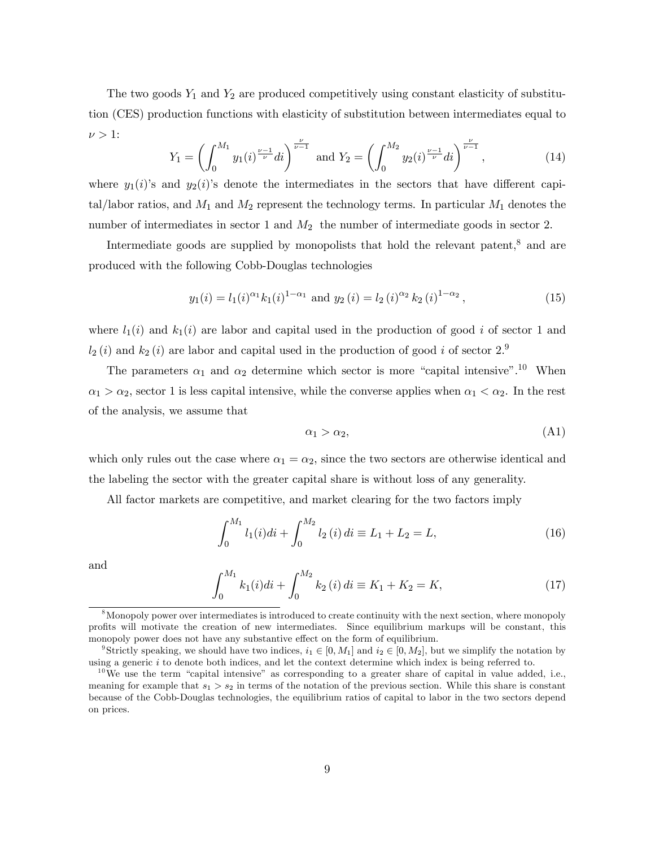The two goods  $Y_1$  and  $Y_2$  are produced competitively using constant elasticity of substitution (CES) production functions with elasticity of substitution between intermediates equal to  $\nu > 1$ :

$$
Y_1 = \left(\int_0^{M_1} y_1(i)^{\frac{\nu-1}{\nu}} di\right)^{\frac{\nu}{\nu-1}} \text{ and } Y_2 = \left(\int_0^{M_2} y_2(i)^{\frac{\nu-1}{\nu}} di\right)^{\frac{\nu}{\nu-1}},\tag{14}
$$

where  $y_1(i)$ 's and  $y_2(i)$ 's denote the intermediates in the sectors that have different capital/labor ratios, and  $M_1$  and  $M_2$  represent the technology terms. In particular  $M_1$  denotes the number of intermediates in sector 1 and  $M_2$  the number of intermediate goods in sector 2.

Intermediate goods are supplied by monopolists that hold the relevant patent,8 and are produced with the following Cobb-Douglas technologies

$$
y_1(i) = l_1(i)^{\alpha_1} k_1(i)^{1-\alpha_1}
$$
 and  $y_2(i) = l_2(i)^{\alpha_2} k_2(i)^{1-\alpha_2}$ , (15)

where  $l_1(i)$  and  $k_1(i)$  are labor and capital used in the production of good i of sector 1 and  $l_2(i)$  and  $k_2(i)$  are labor and capital used in the production of good i of sector  $2.\overline{ }$ <sup>9</sup>

The parameters  $\alpha_1$  and  $\alpha_2$  determine which sector is more "capital intensive".<sup>10</sup> When  $\alpha_1 > \alpha_2$ , sector 1 is less capital intensive, while the converse applies when  $\alpha_1 < \alpha_2$ . In the rest of the analysis, we assume that

$$
\alpha_1 > \alpha_2, \tag{A1}
$$

which only rules out the case where  $\alpha_1 = \alpha_2$ , since the two sectors are otherwise identical and the labeling the sector with the greater capital share is without loss of any generality.

All factor markets are competitive, and market clearing for the two factors imply

$$
\int_0^{M_1} l_1(i)di + \int_0^{M_2} l_2(i)di \equiv L_1 + L_2 = L,\tag{16}
$$

and

$$
\int_0^{M_1} k_1(i)di + \int_0^{M_2} k_2(i)di \equiv K_1 + K_2 = K,\tag{17}
$$

<sup>8</sup>Monopoly power over intermediates is introduced to create continuity with the next section, where monopoly profits will motivate the creation of new intermediates. Since equilibrium markups will be constant, this monopoly power does not have any substantive effect on the form of equilibrium.

<sup>&</sup>lt;sup>9</sup>Strictly speaking, we should have two indices,  $i_1 \in [0, M_1]$  and  $i_2 \in [0, M_2]$ , but we simplify the notation by using a generic  $i$  to denote both indices, and let the context determine which index is being referred to.

 $10$ We use the term "capital intensive" as corresponding to a greater share of capital in value added, i.e., meaning for example that  $s_1 > s_2$  in terms of the notation of the previous section. While this share is constant because of the Cobb-Douglas technologies, the equilibrium ratios of capital to labor in the two sectors depend on prices.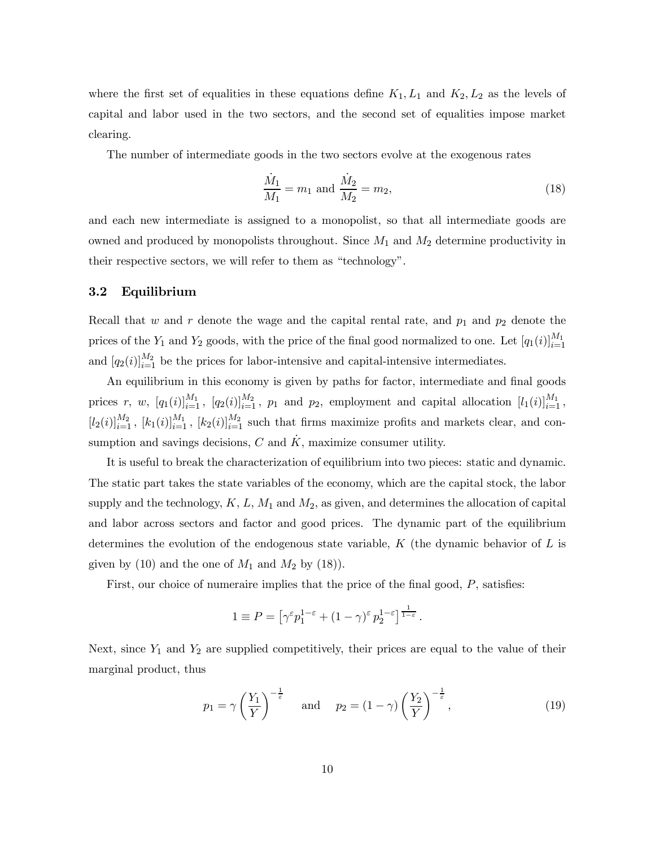where the first set of equalities in these equations define  $K_1, L_1$  and  $K_2, L_2$  as the levels of capital and labor used in the two sectors, and the second set of equalities impose market clearing.

The number of intermediate goods in the two sectors evolve at the exogenous rates

$$
\frac{\dot{M}_1}{M_1} = m_1 \text{ and } \frac{\dot{M}_2}{M_2} = m_2,\tag{18}
$$

and each new intermediate is assigned to a monopolist, so that all intermediate goods are owned and produced by monopolists throughout. Since  $M_1$  and  $M_2$  determine productivity in their respective sectors, we will refer to them as "technology".

### 3.2 Equilibrium

Recall that w and r denote the wage and the capital rental rate, and  $p_1$  and  $p_2$  denote the prices of the  $Y_1$  and  $Y_2$  goods, with the price of the final good normalized to one. Let  $[q_1(i)]_{i=1}^{M_1}$ and  $[q_2(i)]_{i=1}^{M_2}$  be the prices for labor-intensive and capital-intensive intermediates.

An equilibrium in this economy is given by paths for factor, intermediate and final goods prices r, w,  $[q_1(i)]_{i=1}^{M_1}$ ,  $[q_2(i)]_{i=1}^{M_2}$ ,  $p_1$  and  $p_2$ , employment and capital allocation  $[l_1(i)]_{i=1}^{M_1}$ ,  $[l_2(i)]_{i=1}^{M_2}$ ,  $[k_1(i)]_{i=1}^{M_1}$ ,  $[k_2(i)]_{i=1}^{M_2}$  such that firms maximize profits and markets clear, and consumption and savings decisions,  $C$  and  $\tilde{K}$ , maximize consumer utility.

It is useful to break the characterization of equilibrium into two pieces: static and dynamic. The static part takes the state variables of the economy, which are the capital stock, the labor supply and the technology,  $K, L, M_1$  and  $M_2$ , as given, and determines the allocation of capital and labor across sectors and factor and good prices. The dynamic part of the equilibrium determines the evolution of the endogenous state variable,  $K$  (the dynamic behavior of  $L$  is given by (10) and the one of  $M_1$  and  $M_2$  by (18)).

First, our choice of numeraire implies that the price of the final good, P, satisfies:

$$
1 \equiv P = \left[ \gamma^{\varepsilon} p_1^{1-\varepsilon} + (1-\gamma)^{\varepsilon} p_2^{1-\varepsilon} \right]^{\frac{1}{1-\varepsilon}}.
$$

Next, since  $Y_1$  and  $Y_2$  are supplied competitively, their prices are equal to the value of their marginal product, thus

$$
p_1 = \gamma \left(\frac{Y_1}{Y}\right)^{-\frac{1}{\varepsilon}} \quad \text{and} \quad p_2 = (1 - \gamma) \left(\frac{Y_2}{Y}\right)^{-\frac{1}{\varepsilon}},\tag{19}
$$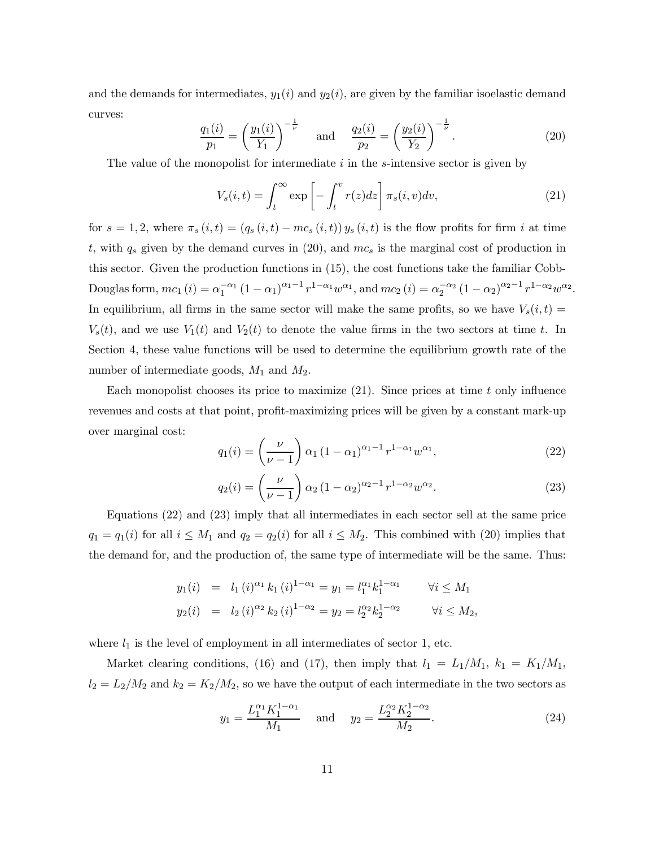and the demands for intermediates,  $y_1(i)$  and  $y_2(i)$ , are given by the familiar isoelastic demand curves:

$$
\frac{q_1(i)}{p_1} = \left(\frac{y_1(i)}{Y_1}\right)^{-\frac{1}{\nu}} \quad \text{and} \quad \frac{q_2(i)}{p_2} = \left(\frac{y_2(i)}{Y_2}\right)^{-\frac{1}{\nu}}.\tag{20}
$$

The value of the monopolist for intermediate  $i$  in the s-intensive sector is given by

$$
V_s(i,t) = \int_t^\infty \exp\left[-\int_t^v r(z)dz\right] \pi_s(i,v)dv,\tag{21}
$$

for  $s = 1, 2$ , where  $\pi_s (i, t) = (q_s (i, t) - mc_s (i, t)) y_s (i, t)$  is the flow profits for firm i at time t, with  $q_s$  given by the demand curves in (20), and  $mc_s$  is the marginal cost of production in this sector. Given the production functions in (15), the cost functions take the familiar Cobb-Douglas form,  $mc_1(i) = \alpha_1^{-\alpha_1} (1 - \alpha_1)^{\alpha_1 - 1} r^{1 - \alpha_1} w^{\alpha_1}$ , and  $mc_2(i) = \alpha_2^{-\alpha_2} (1 - \alpha_2)^{\alpha_2 - 1} r^{1 - \alpha_2} w^{\alpha_2}$ . In equilibrium, all firms in the same sector will make the same profits, so we have  $V_s(i, t)$  $V<sub>s</sub>(t)$ , and we use  $V<sub>1</sub>(t)$  and  $V<sub>2</sub>(t)$  to denote the value firms in the two sectors at time t. In Section 4, these value functions will be used to determine the equilibrium growth rate of the number of intermediate goods,  $M_1$  and  $M_2$ .

Each monopolist chooses its price to maximize  $(21)$ . Since prices at time t only influence revenues and costs at that point, profit-maximizing prices will be given by a constant mark-up over marginal cost:

$$
q_1(i) = \left(\frac{\nu}{\nu - 1}\right) \alpha_1 (1 - \alpha_1)^{\alpha_1 - 1} r^{1 - \alpha_1} w^{\alpha_1},\tag{22}
$$

$$
q_2(i) = \left(\frac{\nu}{\nu - 1}\right) \alpha_2 (1 - \alpha_2)^{\alpha_2 - 1} r^{1 - \alpha_2} w^{\alpha_2}.
$$
 (23)

Equations (22) and (23) imply that all intermediates in each sector sell at the same price  $q_1 = q_1(i)$  for all  $i \leq M_1$  and  $q_2 = q_2(i)$  for all  $i \leq M_2$ . This combined with (20) implies that the demand for, and the production of, the same type of intermediate will be the same. Thus:

$$
y_1(i) = l_1(i)^{\alpha_1} k_1(i)^{1-\alpha_1} = y_1 = l_1^{\alpha_1} k_1^{1-\alpha_1} \qquad \forall i \le M_1
$$
  

$$
y_2(i) = l_2(i)^{\alpha_2} k_2(i)^{1-\alpha_2} = y_2 = l_2^{\alpha_2} k_2^{1-\alpha_2} \qquad \forall i \le M_2,
$$

where  $l_1$  is the level of employment in all intermediates of sector 1, etc.

Market clearing conditions, (16) and (17), then imply that  $l_1 = L_1/M_1$ ,  $k_1 = K_1/M_1$ ,  $l_2 = L_2/M_2$  and  $k_2 = K_2/M_2$ , so we have the output of each intermediate in the two sectors as

$$
y_1 = \frac{L_1^{\alpha_1} K_1^{1-\alpha_1}}{M_1} \quad \text{and} \quad y_2 = \frac{L_2^{\alpha_2} K_2^{1-\alpha_2}}{M_2}.
$$
 (24)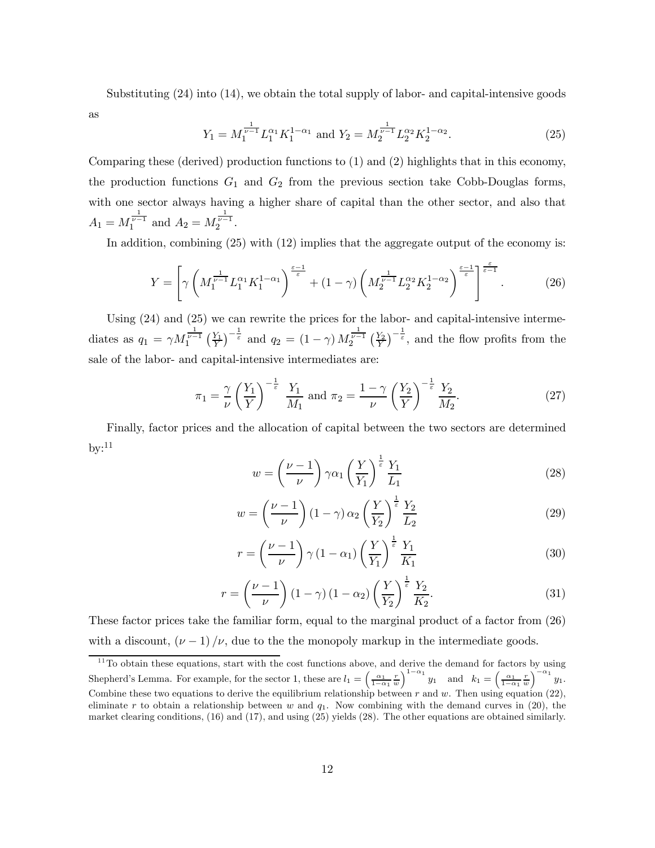Substituting (24) into (14), we obtain the total supply of labor- and capital-intensive goods

as

$$
Y_1 = M_1^{\frac{1}{\nu - 1}} L_1^{\alpha_1} K_1^{1 - \alpha_1} \text{ and } Y_2 = M_2^{\frac{1}{\nu - 1}} L_2^{\alpha_2} K_2^{1 - \alpha_2}.
$$
 (25)

Comparing these (derived) production functions to (1) and (2) highlights that in this economy, the production functions  $G_1$  and  $G_2$  from the previous section take Cobb-Douglas forms, with one sector always having a higher share of capital than the other sector, and also that  $A_1 = M_1^{\frac{1}{\nu-1}}$  and  $A_2 = M_2^{\frac{1}{\nu-1}}$ .

In addition, combining (25) with (12) implies that the aggregate output of the economy is:

$$
Y = \left[ \gamma \left( M_1^{\frac{1}{\nu - 1}} L_1^{\alpha_1} K_1^{1 - \alpha_1} \right)^{\frac{\varepsilon - 1}{\varepsilon}} + (1 - \gamma) \left( M_2^{\frac{1}{\nu - 1}} L_2^{\alpha_2} K_2^{1 - \alpha_2} \right)^{\frac{\varepsilon - 1}{\varepsilon}} \right]^{\frac{\varepsilon}{\varepsilon - 1}}. \tag{26}
$$

Using (24) and (25) we can rewrite the prices for the labor- and capital-intensive intermediates as  $q_1 = \gamma M_1^{\frac{1}{\nu-1}} \left(\frac{Y_1}{Y}\right)^{-\frac{1}{\varepsilon}}$  and  $q_2 = (1-\gamma) M_2^{\frac{1}{\nu-1}} \left(\frac{Y_2}{Y}\right)^{-\frac{1}{\varepsilon}}$ , and the flow profits from the sale of the labor- and capital-intensive intermediates are:

$$
\pi_1 = \frac{\gamma}{\nu} \left(\frac{Y_1}{Y}\right)^{-\frac{1}{\varepsilon}} \frac{Y_1}{M_1} \text{ and } \pi_2 = \frac{1-\gamma}{\nu} \left(\frac{Y_2}{Y}\right)^{-\frac{1}{\varepsilon}} \frac{Y_2}{M_2}.
$$
 (27)

Finally, factor prices and the allocation of capital between the two sectors are determined by: $11$ 

$$
w = \left(\frac{\nu - 1}{\nu}\right) \gamma \alpha_1 \left(\frac{Y}{Y_1}\right)^{\frac{1}{\varepsilon}} \frac{Y_1}{L_1}
$$
\n(28)

$$
w = \left(\frac{\nu - 1}{\nu}\right)(1 - \gamma)\alpha_2\left(\frac{Y}{Y_2}\right)^{\frac{1}{\varepsilon}}\frac{Y_2}{L_2}
$$
\n(29)

$$
r = \left(\frac{\nu - 1}{\nu}\right) \gamma \left(1 - \alpha_1\right) \left(\frac{Y}{Y_1}\right)^{\frac{1}{\varepsilon}} \frac{Y_1}{K_1} \tag{30}
$$

$$
r = \left(\frac{\nu - 1}{\nu}\right) \left(1 - \gamma\right) \left(1 - \alpha_2\right) \left(\frac{Y}{Y_2}\right)^{\frac{1}{\varepsilon}} \frac{Y_2}{K_2}.\tag{31}
$$

These factor prices take the familiar form, equal to the marginal product of a factor from (26) with a discount,  $(\nu - 1)/\nu$ , due to the the monopoly markup in the intermediate goods.

 $11$ To obtain these equations, start with the cost functions above, and derive the demand for factors by using Shepherd's Lemma. For example, for the sector 1, these are  $l_1 = \left(\frac{\alpha_1}{1-\alpha_2}\right)$  $\left(\frac{\alpha_1}{1-\alpha_1}\frac{r}{w}\right)^{1-\alpha_1}y_1$  and  $k_1=\left(\frac{\alpha_1}{1-\alpha_1}\right)$  $\frac{\alpha_1}{1-\alpha_1}\frac{r}{w}$  $\Big)^{-\alpha_1}y_1.$ Combine these two equations to derive the equilibrium relationship between r and w. Then using equation (22), eliminate r to obtain a relationship between w and  $q_1$ . Now combining with the demand curves in (20), the market clearing conditions, (16) and (17), and using (25) yields (28). The other equations are obtained similarly.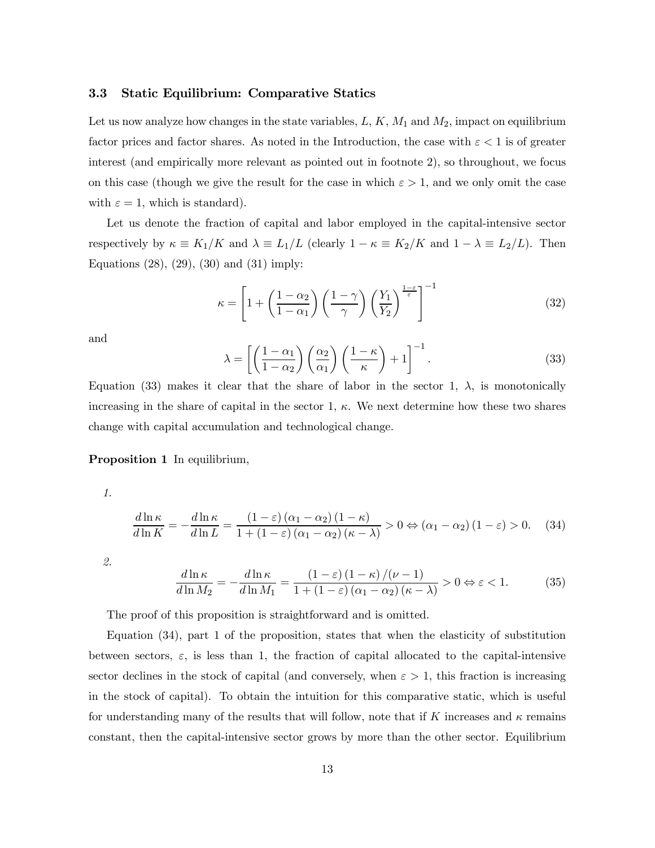#### 3.3 Static Equilibrium: Comparative Statics

Let us now analyze how changes in the state variables,  $L, K, M_1$  and  $M_2$ , impact on equilibrium factor prices and factor shares. As noted in the Introduction, the case with  $\varepsilon < 1$  is of greater interest (and empirically more relevant as pointed out in footnote 2), so throughout, we focus on this case (though we give the result for the case in which  $\varepsilon > 1$ , and we only omit the case with  $\varepsilon = 1$ , which is standard).

Let us denote the fraction of capital and labor employed in the capital-intensive sector respectively by  $\kappa \equiv K_1/K$  and  $\lambda \equiv L_1/L$  (clearly  $1 - \kappa \equiv K_2/K$  and  $1 - \lambda \equiv L_2/L$ ). Then Equations (28), (29), (30) and (31) imply:

$$
\kappa = \left[1 + \left(\frac{1 - \alpha_2}{1 - \alpha_1}\right) \left(\frac{1 - \gamma}{\gamma}\right) \left(\frac{Y_1}{Y_2}\right)^{\frac{1 - \varepsilon}{\varepsilon}}\right]^{-1} \tag{32}
$$

and

$$
\lambda = \left[ \left( \frac{1 - \alpha_1}{1 - \alpha_2} \right) \left( \frac{\alpha_2}{\alpha_1} \right) \left( \frac{1 - \kappa}{\kappa} \right) + 1 \right]^{-1}.
$$
\n(33)

Equation (33) makes it clear that the share of labor in the sector 1,  $\lambda$ , is monotonically increasing in the share of capital in the sector 1,  $\kappa$ . We next determine how these two shares change with capital accumulation and technological change.

#### Proposition 1 In equilibrium,

1.

$$
\frac{d\ln\kappa}{d\ln K} = -\frac{d\ln\kappa}{d\ln L} = \frac{(1-\varepsilon)(\alpha_1 - \alpha_2)(1-\kappa)}{1+(1-\varepsilon)(\alpha_1 - \alpha_2)(\kappa - \lambda)} > 0 \Leftrightarrow (\alpha_1 - \alpha_2)(1-\varepsilon) > 0. \tag{34}
$$

2.

$$
\frac{d\ln\kappa}{d\ln M_2} = -\frac{d\ln\kappa}{d\ln M_1} = \frac{(1-\varepsilon)(1-\kappa)/(v-1)}{1+(1-\varepsilon)(\alpha_1-\alpha_2)(\kappa-\lambda)} > 0 \Leftrightarrow \varepsilon < 1. \tag{35}
$$

The proof of this proposition is straightforward and is omitted.

Equation (34), part 1 of the proposition, states that when the elasticity of substitution between sectors,  $\varepsilon$ , is less than 1, the fraction of capital allocated to the capital-intensive sector declines in the stock of capital (and conversely, when  $\varepsilon > 1$ , this fraction is increasing in the stock of capital). To obtain the intuition for this comparative static, which is useful for understanding many of the results that will follow, note that if K increases and  $\kappa$  remains constant, then the capital-intensive sector grows by more than the other sector. Equilibrium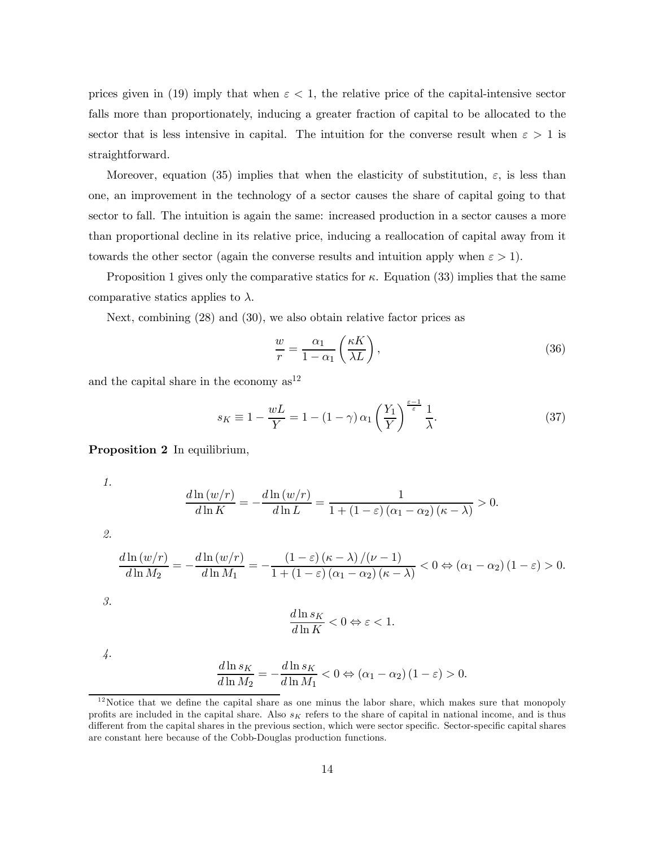prices given in (19) imply that when  $\varepsilon < 1$ , the relative price of the capital-intensive sector falls more than proportionately, inducing a greater fraction of capital to be allocated to the sector that is less intensive in capital. The intuition for the converse result when  $\varepsilon > 1$  is straightforward.

Moreover, equation (35) implies that when the elasticity of substitution,  $\varepsilon$ , is less than one, an improvement in the technology of a sector causes the share of capital going to that sector to fall. The intuition is again the same: increased production in a sector causes a more than proportional decline in its relative price, inducing a reallocation of capital away from it towards the other sector (again the converse results and intuition apply when  $\varepsilon > 1$ ).

Proposition 1 gives only the comparative statics for  $\kappa$ . Equation (33) implies that the same comparative statics applies to  $\lambda$ .

Next, combining (28) and (30), we also obtain relative factor prices as

$$
\frac{w}{r} = \frac{\alpha_1}{1 - \alpha_1} \left(\frac{\kappa K}{\lambda L}\right),\tag{36}
$$

and the capital share in the economy  $as<sup>12</sup>$ 

$$
s_K \equiv 1 - \frac{wL}{Y} = 1 - (1 - \gamma) \alpha_1 \left(\frac{Y_1}{Y}\right)^{\frac{\varepsilon - 1}{\varepsilon}} \frac{1}{\lambda}.
$$
 (37)

Proposition 2 In equilibrium,

1.

$$
\frac{d\ln(w/r)}{d\ln K} = -\frac{d\ln(w/r)}{d\ln L} = \frac{1}{1 + (1 - \varepsilon)(\alpha_1 - \alpha_2)(\kappa - \lambda)} > 0.
$$

2.

$$
\frac{d\ln(w/r)}{d\ln M_2} = -\frac{d\ln(w/r)}{d\ln M_1} = -\frac{(1-\varepsilon)(\kappa-\lambda)/(\nu-1)}{1+(1-\varepsilon)(\alpha_1-\alpha_2)(\kappa-\lambda)} < 0 \Leftrightarrow (\alpha_1-\alpha_2)(1-\varepsilon) > 0.
$$

3.

$$
\frac{d\ln s_K}{d\ln K} < 0 \Leftrightarrow \varepsilon < 1.
$$

4.

$$
\frac{d\ln s_K}{d\ln M_2} = -\frac{d\ln s_K}{d\ln M_1} < 0 \Leftrightarrow (\alpha_1 - \alpha_2)(1 - \varepsilon) > 0.
$$

 $12$  Notice that we define the capital share as one minus the labor share, which makes sure that monopoly profits are included in the capital share. Also  $s_K$  refers to the share of capital in national income, and is thus different from the capital shares in the previous section, which were sector specific. Sector-specific capital shares are constant here because of the Cobb-Douglas production functions.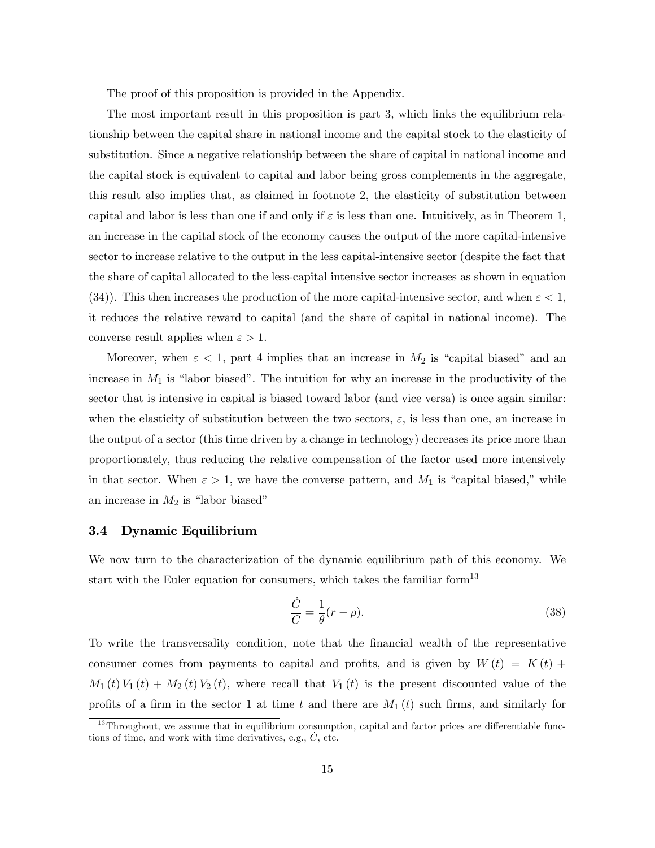The proof of this proposition is provided in the Appendix.

The most important result in this proposition is part 3, which links the equilibrium relationship between the capital share in national income and the capital stock to the elasticity of substitution. Since a negative relationship between the share of capital in national income and the capital stock is equivalent to capital and labor being gross complements in the aggregate, this result also implies that, as claimed in footnote 2, the elasticity of substitution between capital and labor is less than one if and only if  $\varepsilon$  is less than one. Intuitively, as in Theorem 1, an increase in the capital stock of the economy causes the output of the more capital-intensive sector to increase relative to the output in the less capital-intensive sector (despite the fact that the share of capital allocated to the less-capital intensive sector increases as shown in equation (34)). This then increases the production of the more capital-intensive sector, and when  $\varepsilon < 1$ , it reduces the relative reward to capital (and the share of capital in national income). The converse result applies when  $\varepsilon > 1$ .

Moreover, when  $\varepsilon < 1$ , part 4 implies that an increase in  $M_2$  is "capital biased" and an increase in  $M_1$  is "labor biased". The intuition for why an increase in the productivity of the sector that is intensive in capital is biased toward labor (and vice versa) is once again similar: when the elasticity of substitution between the two sectors,  $\varepsilon$ , is less than one, an increase in the output of a sector (this time driven by a change in technology) decreases its price more than proportionately, thus reducing the relative compensation of the factor used more intensively in that sector. When  $\varepsilon > 1$ , we have the converse pattern, and  $M_1$  is "capital biased," while an increase in  $M_2$  is "labor biased"

### 3.4 Dynamic Equilibrium

We now turn to the characterization of the dynamic equilibrium path of this economy. We start with the Euler equation for consumers, which takes the familiar form<sup>13</sup>

$$
\frac{\dot{C}}{C} = \frac{1}{\theta}(r - \rho). \tag{38}
$$

To write the transversality condition, note that the financial wealth of the representative consumer comes from payments to capital and profits, and is given by  $W(t) = K(t) +$  $M_1(t) V_1(t) + M_2(t) V_2(t)$ , where recall that  $V_1(t)$  is the present discounted value of the profits of a firm in the sector 1 at time t and there are  $M_1(t)$  such firms, and similarly for

 $13$ Throughout, we assume that in equilibrium consumption, capital and factor prices are differentiable functions of time, and work with time derivatives, e.g.,  $\dot{C}$ , etc.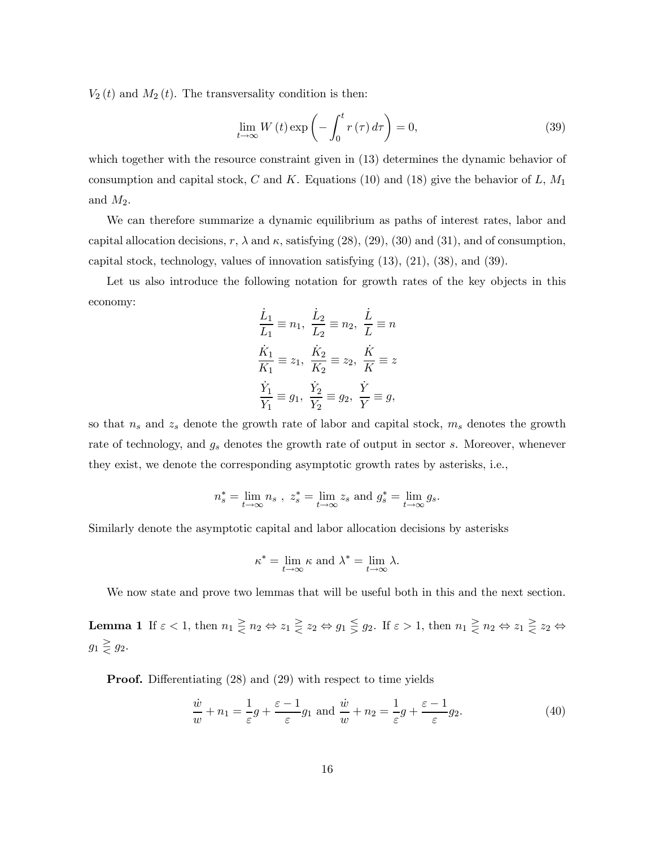$V_2(t)$  and  $M_2(t)$ . The transversality condition is then:

$$
\lim_{t \to \infty} W(t) \exp\left(-\int_0^t r(\tau) d\tau\right) = 0,
$$
\n(39)

which together with the resource constraint given in  $(13)$  determines the dynamic behavior of consumption and capital stock, C and K. Equations (10) and (18) give the behavior of L,  $M_1$ and  $M_2$ .

We can therefore summarize a dynamic equilibrium as paths of interest rates, labor and capital allocation decisions, r,  $\lambda$  and  $\kappa$ , satisfying (28), (29), (30) and (31), and of consumption, capital stock, technology, values of innovation satisfying (13), (21), (38), and (39).

Let us also introduce the following notation for growth rates of the key objects in this economy:

$$
\frac{\dot{L}_1}{L_1} \equiv n_1, \ \frac{\dot{L}_2}{L_2} \equiv n_2, \ \frac{\dot{L}}{L} \equiv n
$$
  

$$
\frac{\dot{K}_1}{K_1} \equiv z_1, \ \frac{\dot{K}_2}{K_2} \equiv z_2, \ \frac{\dot{K}}{K} \equiv z
$$
  

$$
\frac{\dot{Y}_1}{Y_1} \equiv g_1, \ \frac{\dot{Y}_2}{Y_2} \equiv g_2, \ \frac{\dot{Y}}{Y} \equiv g,
$$

so that  $n_s$  and  $z_s$  denote the growth rate of labor and capital stock,  $m_s$  denotes the growth rate of technology, and  $g_s$  denotes the growth rate of output in sector s. Moreover, whenever they exist, we denote the corresponding asymptotic growth rates by asterisks, i.e.,

$$
n_s^* = \lim_{t \to \infty} n_s , \ z_s^* = \lim_{t \to \infty} z_s \text{ and } g_s^* = \lim_{t \to \infty} g_s.
$$

Similarly denote the asymptotic capital and labor allocation decisions by asterisks

$$
\kappa^* = \lim_{t \to \infty} \kappa \text{ and } \lambda^* = \lim_{t \to \infty} \lambda.
$$

We now state and prove two lemmas that will be useful both in this and the next section.

**Lemma 1** If  $\varepsilon < 1$ , then  $n_1 \geq n_2 \Leftrightarrow z_1 \geq z_2 \Leftrightarrow g_1 \leq g_2$ . If  $\varepsilon > 1$ , then  $n_1 \geq n_2 \Leftrightarrow z_1 \geq z_2 \Leftrightarrow z_1 \geq z_1 \Leftrightarrow z_1 \geq z_2 \Leftrightarrow z_1 \geq z_1 \Leftrightarrow z_1 \geq z_2 \Leftrightarrow z_1 \geq z_1 \Leftrightarrow z_1 \geq z_2 \Leftrightarrow z_1 \geq z_1 \Leftrightarrow z_1 \geq z$  $g_1 \geq g_2$ .

Proof. Differentiating (28) and (29) with respect to time yields

$$
\frac{\dot{w}}{w} + n_1 = \frac{1}{\varepsilon}g + \frac{\varepsilon - 1}{\varepsilon}g_1 \text{ and } \frac{\dot{w}}{w} + n_2 = \frac{1}{\varepsilon}g + \frac{\varepsilon - 1}{\varepsilon}g_2.
$$
\n(40)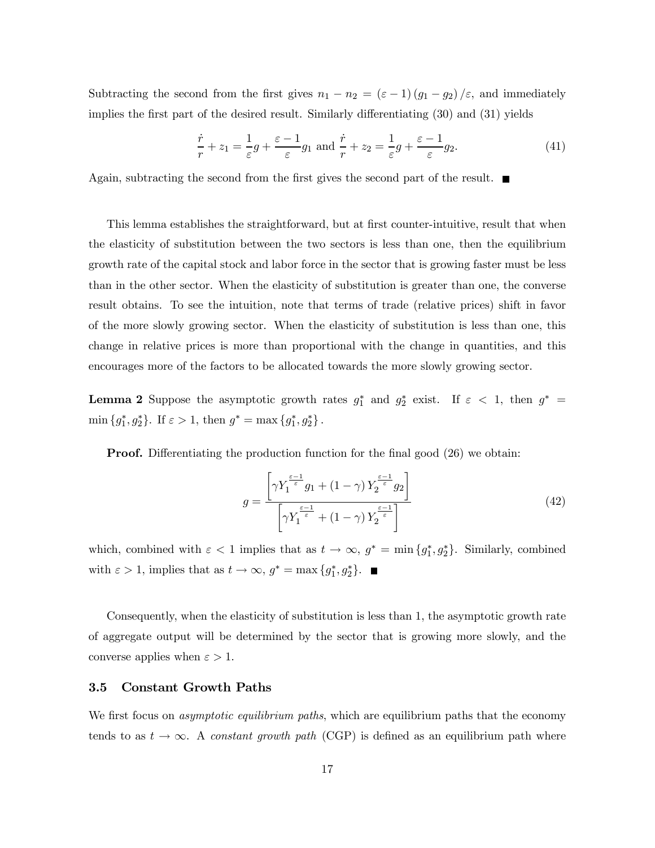Subtracting the second from the first gives  $n_1 - n_2 = (\varepsilon - 1)(g_1 - g_2)/\varepsilon$ , and immediately implies the first part of the desired result. Similarly differentiating (30) and (31) yields

$$
\frac{\dot{r}}{r} + z_1 = \frac{1}{\varepsilon}g + \frac{\varepsilon - 1}{\varepsilon}g_1 \text{ and } \frac{\dot{r}}{r} + z_2 = \frac{1}{\varepsilon}g + \frac{\varepsilon - 1}{\varepsilon}g_2.
$$
 (41)

Again, subtracting the second from the first gives the second part of the result.  $\blacksquare$ 

This lemma establishes the straightforward, but at first counter-intuitive, result that when the elasticity of substitution between the two sectors is less than one, then the equilibrium growth rate of the capital stock and labor force in the sector that is growing faster must be less than in the other sector. When the elasticity of substitution is greater than one, the converse result obtains. To see the intuition, note that terms of trade (relative prices) shift in favor of the more slowly growing sector. When the elasticity of substitution is less than one, this change in relative prices is more than proportional with the change in quantities, and this encourages more of the factors to be allocated towards the more slowly growing sector.

**Lemma 2** Suppose the asymptotic growth rates  $g_1^*$  and  $g_2^*$  exist. If  $\varepsilon < 1$ , then  $g^* =$ min  ${g_1^*, g_2^*}$ . If  $\varepsilon > 1$ , then  $g^* = \max {g_1^*, g_2^*}$ .

**Proof.** Differentiating the production function for the final good (26) we obtain:

$$
g = \frac{\left[\gamma Y_1^{\frac{\varepsilon - 1}{\varepsilon}} g_1 + (1 - \gamma) Y_2^{\frac{\varepsilon - 1}{\varepsilon}} g_2\right]}{\left[\gamma Y_1^{\frac{\varepsilon - 1}{\varepsilon}} + (1 - \gamma) Y_2^{\frac{\varepsilon - 1}{\varepsilon}}\right]}
$$
(42)

which, combined with  $\varepsilon < 1$  implies that as  $t \to \infty$ ,  $g^* = \min\{g_1^*, g_2^*\}\.$  Similarly, combined with  $\varepsilon > 1$ , implies that as  $t \to \infty$ ,  $g^* = \max\{g_1^*, g_2^*\}.$ 

Consequently, when the elasticity of substitution is less than 1, the asymptotic growth rate of aggregate output will be determined by the sector that is growing more slowly, and the converse applies when  $\varepsilon > 1$ .

### 3.5 Constant Growth Paths

We first focus on *asymptotic equilibrium paths*, which are equilibrium paths that the economy tends to as  $t \to \infty$ . A constant growth path (CGP) is defined as an equilibrium path where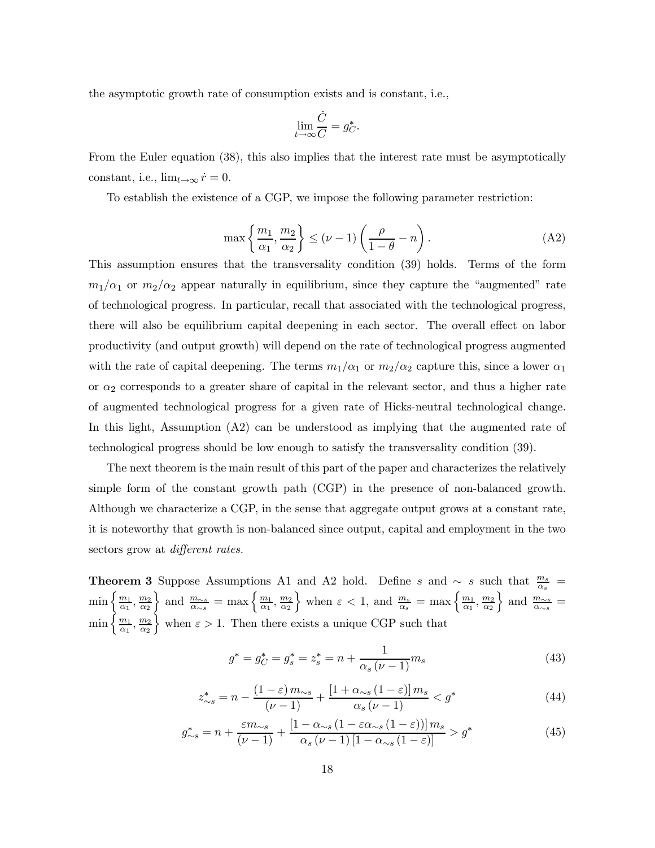the asymptotic growth rate of consumption exists and is constant, i.e.,

$$
\lim_{t \to \infty} \frac{\dot{C}}{C} = g_C^*.
$$

From the Euler equation (38), this also implies that the interest rate must be asymptotically constant, i.e.,  $\lim_{t\to\infty} \dot{r} = 0$ .

To establish the existence of a CGP, we impose the following parameter restriction:

$$
\max\left\{\frac{m_1}{\alpha_1},\frac{m_2}{\alpha_2}\right\} \leq (\nu-1)\left(\frac{\rho}{1-\theta}-n\right). \tag{A2}
$$

This assumption ensures that the transversality condition (39) holds. Terms of the form  $m_1/\alpha_1$  or  $m_2/\alpha_2$  appear naturally in equilibrium, since they capture the "augmented" rate of technological progress. In particular, recall that associated with the technological progress, there will also be equilibrium capital deepening in each sector. The overall effect on labor productivity (and output growth) will depend on the rate of technological progress augmented with the rate of capital deepening. The terms  $m_1/\alpha_1$  or  $m_2/\alpha_2$  capture this, since a lower  $\alpha_1$ or  $\alpha_2$  corresponds to a greater share of capital in the relevant sector, and thus a higher rate of augmented technological progress for a given rate of Hicks-neutral technological change. In this light, Assumption (A2) can be understood as implying that the augmented rate of technological progress should be low enough to satisfy the transversality condition (39).

The next theorem is the main result of this part of the paper and characterizes the relatively simple form of the constant growth path (CGP) in the presence of non-balanced growth. Although we characterize a CGP, in the sense that aggregate output grows at a constant rate, it is noteworthy that growth is non-balanced since output, capital and employment in the two sectors grow at *different rates*.

**Theorem 3** Suppose Assumptions A1 and A2 hold. Define s and  $\sim s$  such that  $\frac{m_s}{\alpha_s}$  =  $\min\left\{\frac{m_1}{\alpha_1},\frac{m_2}{\alpha_2}\right.$ } and  $\frac{m_{\sim s}}{\alpha_{\sim s}} = \max\left\{\frac{m_1}{\alpha_1}, \frac{m_2}{\alpha_2}\right\}$ } when  $\varepsilon < 1$ , and  $\frac{m_s}{\alpha_s} = \max\left\{\frac{m_1}{\alpha_1}, \frac{m_2}{\alpha_2}\right\}$  $\Big\}$  and  $\frac{\stackrel{\_}{m_{\sim s}}}{\stackrel{\_}{\alpha_{\sim s}}}$  =  $\min\left\{\frac{m_1}{\alpha_1},\frac{m_2}{\alpha_2}\right.$ when  $\varepsilon > 1$ . Then there exists a unique CGP such that

$$
g^* = g_C^* = g_s^* = z_s^* = n + \frac{1}{\alpha_s \left(\nu - 1\right)} m_s \tag{43}
$$

$$
z_{\sim s}^* = n - \frac{(1 - \varepsilon) m_{\sim s}}{(\nu - 1)} + \frac{[1 + \alpha_{\sim s} (1 - \varepsilon)] m_s}{\alpha_s (\nu - 1)} < g^* \tag{44}
$$

$$
g_{\sim s}^{*} = n + \frac{\varepsilon m_{\sim s}}{(\nu - 1)} + \frac{\left[1 - \alpha_{\sim s} \left(1 - \varepsilon \alpha_{\sim s} \left(1 - \varepsilon\right)\right)\right] m_{s}}{\alpha_{s} \left(\nu - 1\right) \left[1 - \alpha_{\sim s} \left(1 - \varepsilon\right)\right]} > g^{*}
$$
\n
$$
(45)
$$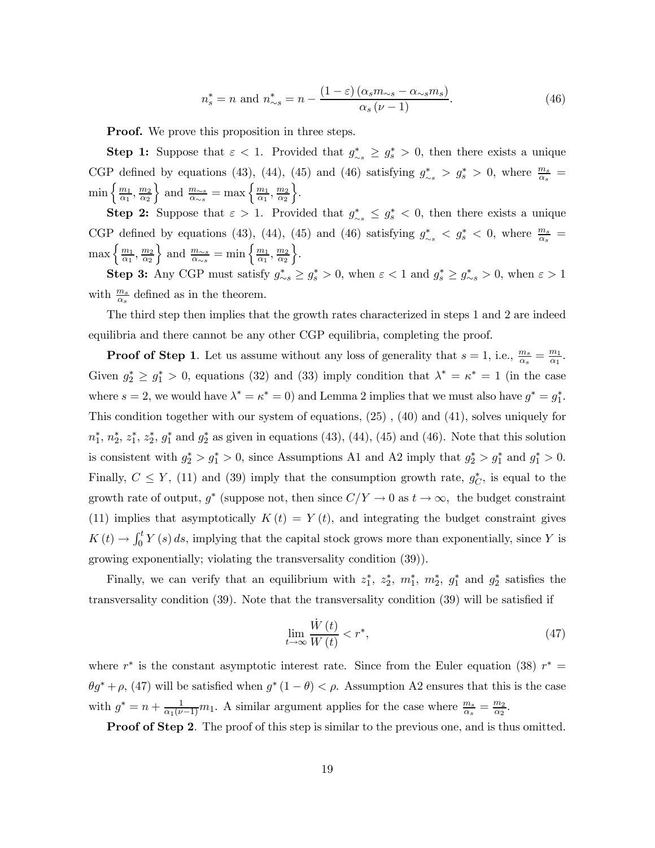$$
n_s^* = n \text{ and } n_{\sim s}^* = n - \frac{(1 - \varepsilon)(\alpha_s m_{\sim s} - \alpha_{\sim s} m_s)}{\alpha_s (\nu - 1)}.
$$
\n
$$
(46)
$$

**Proof.** We prove this proposition in three steps.

**Step 1:** Suppose that  $\varepsilon < 1$ . Provided that  $g^*_{\sim s} \geq g^*_{s} > 0$ , then there exists a unique CGP defined by equations (43), (44), (45) and (46) satisfying  $g^*_{\sim s} > g^*_{s} > 0$ , where  $\frac{m_s}{\alpha_s} =$  $\min\left\{\frac{m_1}{\alpha_1},\frac{m_2}{\alpha_2}\right\}$ } and  $\frac{m_{\sim s}}{\alpha_{\sim s}} = \max\left\{\frac{m_1}{\alpha_1}, \frac{m_2}{\alpha_2}\right\}$  $\big\}$ .

Step 2: Suppose that  $\varepsilon > 1$ . Provided that  $g^*_{\sim s} \leq g^*_{s} < 0$ , then there exists a unique CGP defined by equations (43), (44), (45) and (46) satisfying  $g^*_{\sim s} < g^*_{s} < 0$ , where  $\frac{m_s}{\alpha_s} =$  $\max\left\{\frac{m_1}{\alpha_1},\frac{m_2}{\alpha_2}\right\}$ } and  $\frac{m_{\sim s}}{\alpha_{\sim s}} = \min\left\{\frac{m_1}{\alpha_1}, \frac{m_2}{\alpha_2}\right\}$  $\big\}$ .

Step 3: Any CGP must satisfy  $g_{\sim s}^* \ge g_s^* > 0$ , when  $\varepsilon < 1$  and  $g_s^* \ge g_{\sim s}^* > 0$ , when  $\varepsilon > 1$ with  $\frac{m_s}{\alpha_s}$  defined as in the theorem.

The third step then implies that the growth rates characterized in steps 1 and 2 are indeed equilibria and there cannot be any other CGP equilibria, completing the proof.

**Proof of Step 1**. Let us assume without any loss of generality that  $s = 1$ , i.e.,  $\frac{m_s}{\alpha_s} = \frac{m_1}{\alpha_1}$ . Given  $g_2^* \geq g_1^* > 0$ , equations (32) and (33) imply condition that  $\lambda^* = \kappa^* = 1$  (in the case where  $s = 2$ , we would have  $\lambda^* = \kappa^* = 0$  and Lemma 2 implies that we must also have  $g^* = g_1^*$ . This condition together with our system of equations, (25) , (40) and (41), solves uniquely for  $n_1^*, n_2^*, z_1^*, z_2^*, g_1^*$  and  $g_2^*$  as given in equations (43), (44), (45) and (46). Note that this solution is consistent with  $g_2^* > g_1^* > 0$ , since Assumptions A1 and A2 imply that  $g_2^* > g_1^*$  and  $g_1^* > 0$ . Finally,  $C \leq Y$ , (11) and (39) imply that the consumption growth rate,  $g_C^*$ , is equal to the growth rate of output,  $g^*$  (suppose not, then since  $C/Y \to 0$  as  $t \to \infty$ , the budget constraint (11) implies that asymptotically  $K(t) = Y(t)$ , and integrating the budget constraint gives  $K(t) \to \int_0^t Y(s) ds$ , implying that the capital stock grows more than exponentially, since Y is growing exponentially; violating the transversality condition (39)).

Finally, we can verify that an equilibrium with  $z_1^*, z_2^*, m_1^*, m_2^*, g_1^*$  and  $g_2^*$  satisfies the transversality condition (39). Note that the transversality condition (39) will be satisfied if

$$
\lim_{t \to \infty} \frac{\dot{W}(t)}{W(t)} < r^*,\tag{47}
$$

where  $r^*$  is the constant asymptotic interest rate. Since from the Euler equation (38)  $r^* =$  $\theta g^* + \rho$ , (47) will be satisfied when  $g^*$  (1 –  $\theta$ ) <  $\rho$ . Assumption A2 ensures that this is the case with  $g^* = n + \frac{1}{\alpha_1(\nu-1)}m_1$ . A similar argument applies for the case where  $\frac{m_s}{\alpha_s} = \frac{m_2}{\alpha_2}$ .

**Proof of Step 2.** The proof of this step is similar to the previous one, and is thus omitted.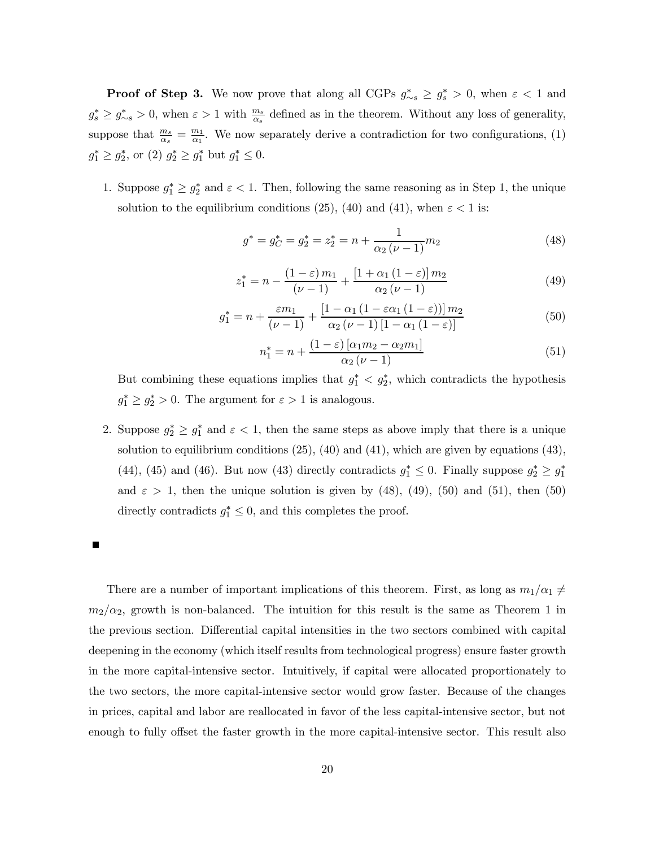**Proof of Step 3.** We now prove that along all CGPs  $g^*_{\sim s} \ge g^*_s > 0$ , when  $\varepsilon < 1$  and  $g_s^* \ge g_{\sim s}^* > 0$ , when  $\varepsilon > 1$  with  $\frac{m_s}{\alpha_s}$  defined as in the theorem. Without any loss of generality, suppose that  $\frac{m_s}{\alpha_s} = \frac{m_1}{\alpha_1}$ . We now separately derive a contradiction for two configurations, (1)  $g_1^* \ge g_2^*$ , or  $(2)$   $g_2^* \ge g_1^*$  but  $g_1^* \le 0$ .

1. Suppose  $g_1^* \geq g_2^*$  and  $\varepsilon < 1$ . Then, following the same reasoning as in Step 1, the unique solution to the equilibrium conditions (25), (40) and (41), when  $\varepsilon < 1$  is:

$$
g^* = g_C^* = g_2^* = z_2^* = n + \frac{1}{\alpha_2 (\nu - 1)} m_2 \tag{48}
$$

$$
z_1^* = n - \frac{(1 - \varepsilon) m_1}{(\nu - 1)} + \frac{[1 + \alpha_1 (1 - \varepsilon)] m_2}{\alpha_2 (\nu - 1)}
$$
(49)

$$
g_1^* = n + \frac{\varepsilon m_1}{(\nu - 1)} + \frac{\left[1 - \alpha_1 \left(1 - \varepsilon \alpha_1 \left(1 - \varepsilon\right)\right)\right] m_2}{\alpha_2 \left(\nu - 1\right) \left[1 - \alpha_1 \left(1 - \varepsilon\right)\right]}
$$
(50)

$$
n_1^* = n + \frac{(1 - \varepsilon) \left[ \alpha_1 m_2 - \alpha_2 m_1 \right]}{\alpha_2 \left( \nu - 1 \right)} \tag{51}
$$

But combining these equations implies that  $g_1^* < g_2^*$ , which contradicts the hypothesis  $g_1^* \geq g_2^* > 0$ . The argument for  $\varepsilon > 1$  is analogous.

2. Suppose  $g_2^* \geq g_1^*$  and  $\varepsilon < 1$ , then the same steps as above imply that there is a unique solution to equilibrium conditions (25), (40) and (41), which are given by equations (43), (44), (45) and (46). But now (43) directly contradicts  $g_1^* \leq 0$ . Finally suppose  $g_2^* \geq g_1^*$ and  $\varepsilon > 1$ , then the unique solution is given by (48), (49), (50) and (51), then (50) directly contradicts  $g_1^* \leq 0$ , and this completes the proof.

There are a number of important implications of this theorem. First, as long as  $m_1/\alpha_1 \neq$  $m_2/\alpha_2$ , growth is non-balanced. The intuition for this result is the same as Theorem 1 in the previous section. Differential capital intensities in the two sectors combined with capital deepening in the economy (which itself results from technological progress) ensure faster growth in the more capital-intensive sector. Intuitively, if capital were allocated proportionately to the two sectors, the more capital-intensive sector would grow faster. Because of the changes in prices, capital and labor are reallocated in favor of the less capital-intensive sector, but not enough to fully offset the faster growth in the more capital-intensive sector. This result also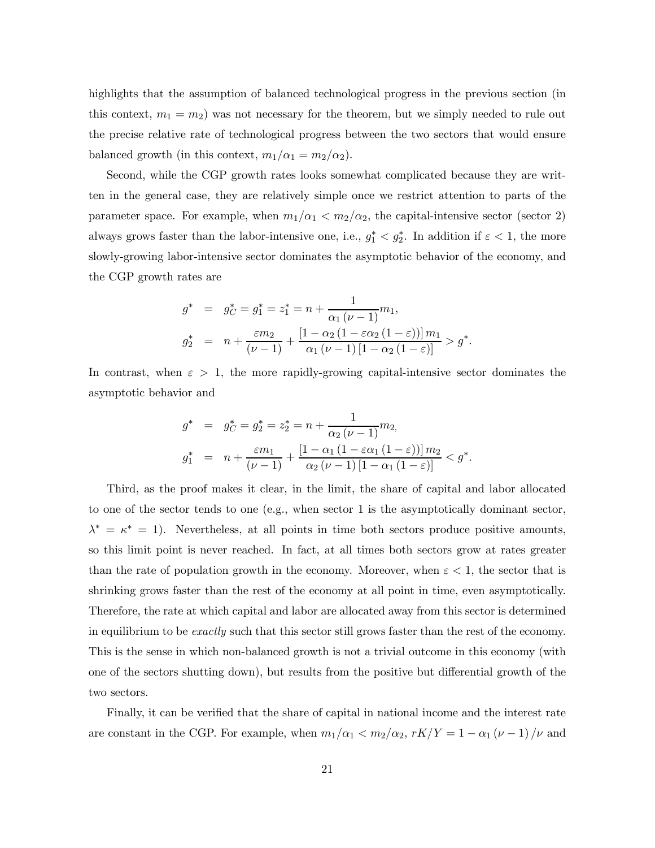highlights that the assumption of balanced technological progress in the previous section (in this context,  $m_1 = m_2$ ) was not necessary for the theorem, but we simply needed to rule out the precise relative rate of technological progress between the two sectors that would ensure balanced growth (in this context,  $m_1/\alpha_1 = m_2/\alpha_2$ ).

Second, while the CGP growth rates looks somewhat complicated because they are written in the general case, they are relatively simple once we restrict attention to parts of the parameter space. For example, when  $m_1/\alpha_1 < m_2/\alpha_2$ , the capital-intensive sector (sector 2) always grows faster than the labor-intensive one, i.e.,  $g_1^* < g_2^*$ . In addition if  $\varepsilon < 1$ , the more slowly-growing labor-intensive sector dominates the asymptotic behavior of the economy, and the CGP growth rates are

$$
g^* = g_C^* = g_1^* = z_1^* = n + \frac{1}{\alpha_1 (\nu - 1)} m_1,
$$
  
\n
$$
g_2^* = n + \frac{\varepsilon m_2}{(\nu - 1)} + \frac{[1 - \alpha_2 (1 - \varepsilon \alpha_2 (1 - \varepsilon))] m_1}{\alpha_1 (\nu - 1) [1 - \alpha_2 (1 - \varepsilon)]} > g^*.
$$

In contrast, when  $\varepsilon > 1$ , the more rapidly-growing capital-intensive sector dominates the asymptotic behavior and

$$
g^* = g_C^* = g_2^* = z_2^* = n + \frac{1}{\alpha_2 (\nu - 1)} m_2,
$$
  
\n
$$
g_1^* = n + \frac{\varepsilon m_1}{(\nu - 1)} + \frac{[1 - \alpha_1 (1 - \varepsilon \alpha_1 (1 - \varepsilon))] m_2}{\alpha_2 (\nu - 1) [1 - \alpha_1 (1 - \varepsilon)]} < g^*.
$$

Third, as the proof makes it clear, in the limit, the share of capital and labor allocated to one of the sector tends to one (e.g., when sector 1 is the asymptotically dominant sector,  $\lambda^* = \kappa^* = 1$ . Nevertheless, at all points in time both sectors produce positive amounts, so this limit point is never reached. In fact, at all times both sectors grow at rates greater than the rate of population growth in the economy. Moreover, when  $\varepsilon < 1$ , the sector that is shrinking grows faster than the rest of the economy at all point in time, even asymptotically. Therefore, the rate at which capital and labor are allocated away from this sector is determined in equilibrium to be *exactly* such that this sector still grows faster than the rest of the economy. This is the sense in which non-balanced growth is not a trivial outcome in this economy (with one of the sectors shutting down), but results from the positive but differential growth of the two sectors.

Finally, it can be verified that the share of capital in national income and the interest rate are constant in the CGP. For example, when  $m_1/\alpha_1 < m_2/\alpha_2$ ,  $rK/Y = 1 - \alpha_1 (\nu - 1)/\nu$  and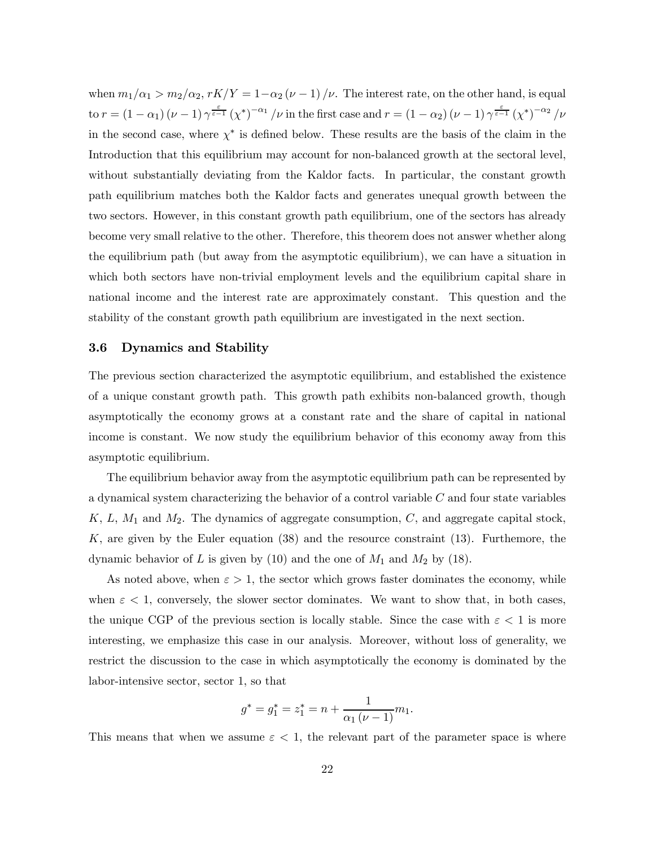when  $m_1/\alpha_1 > m_2/\alpha_2$ ,  $rK/Y = 1-\alpha_2(\nu-1)/\nu$ . The interest rate, on the other hand, is equal to  $r = (1 - \alpha_1) (\nu - 1) \gamma^{\frac{\varepsilon}{\varepsilon - 1}} (\chi^*)^{-\alpha_1} / \nu$  in the first case and  $r = (1 - \alpha_2) (\nu - 1) \gamma^{\frac{\varepsilon}{\varepsilon - 1}} (\chi^*)^{-\alpha_2} / \nu$ in the second case, where  $\chi^*$  is defined below. These results are the basis of the claim in the Introduction that this equilibrium may account for non-balanced growth at the sectoral level, without substantially deviating from the Kaldor facts. In particular, the constant growth path equilibrium matches both the Kaldor facts and generates unequal growth between the two sectors. However, in this constant growth path equilibrium, one of the sectors has already become very small relative to the other. Therefore, this theorem does not answer whether along the equilibrium path (but away from the asymptotic equilibrium), we can have a situation in which both sectors have non-trivial employment levels and the equilibrium capital share in national income and the interest rate are approximately constant. This question and the stability of the constant growth path equilibrium are investigated in the next section.

### 3.6 Dynamics and Stability

The previous section characterized the asymptotic equilibrium, and established the existence of a unique constant growth path. This growth path exhibits non-balanced growth, though asymptotically the economy grows at a constant rate and the share of capital in national income is constant. We now study the equilibrium behavior of this economy away from this asymptotic equilibrium.

The equilibrium behavior away from the asymptotic equilibrium path can be represented by a dynamical system characterizing the behavior of a control variable  $C$  and four state variables  $K, L, M_1$  and  $M_2$ . The dynamics of aggregate consumption,  $C$ , and aggregate capital stock, K, are given by the Euler equation  $(38)$  and the resource constraint  $(13)$ . Furthemore, the dynamic behavior of L is given by (10) and the one of  $M_1$  and  $M_2$  by (18).

As noted above, when  $\varepsilon > 1$ , the sector which grows faster dominates the economy, while when  $\varepsilon$  < 1, conversely, the slower sector dominates. We want to show that, in both cases, the unique CGP of the previous section is locally stable. Since the case with  $\varepsilon < 1$  is more interesting, we emphasize this case in our analysis. Moreover, without loss of generality, we restrict the discussion to the case in which asymptotically the economy is dominated by the labor-intensive sector, sector 1, so that

$$
g^* = g_1^* = z_1^* = n + \frac{1}{\alpha_1 (\nu - 1)} m_1.
$$

This means that when we assume  $\varepsilon < 1$ , the relevant part of the parameter space is where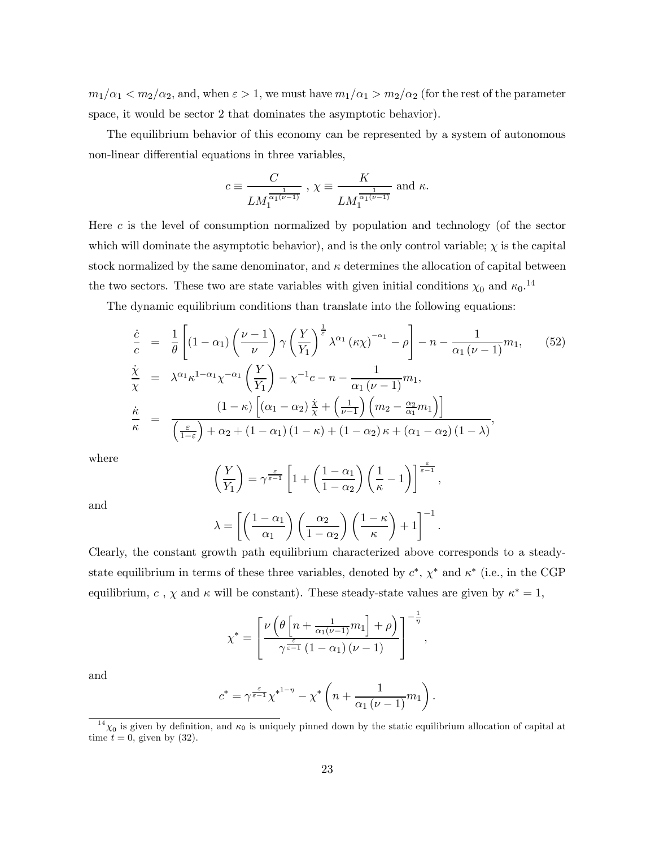$m_1/\alpha_1 < m_2/\alpha_2$ , and, when  $\varepsilon > 1$ , we must have  $m_1/\alpha_1 > m_2/\alpha_2$  (for the rest of the parameter space, it would be sector 2 that dominates the asymptotic behavior).

The equilibrium behavior of this economy can be represented by a system of autonomous non-linear differential equations in three variables,

$$
c\equiv \frac{C}{LM_1^{\frac{1}{\alpha_1(\nu-1)}}}\ ,\ \chi\equiv \frac{K}{LM_1^{\frac{1}{\alpha_1(\nu-1)}}}\ \ {\rm and}\ \kappa.
$$

Here c is the level of consumption normalized by population and technology (of the sector which will dominate the asymptotic behavior), and is the only control variable;  $\chi$  is the capital stock normalized by the same denominator, and  $\kappa$  determines the allocation of capital between the two sectors. These two are state variables with given initial conditions  $\chi_0$  and  $\kappa_0$ .<sup>14</sup>

The dynamic equilibrium conditions than translate into the following equations:

$$
\frac{\dot{c}}{c} = \frac{1}{\theta} \left[ (1 - \alpha_1) \left( \frac{\nu - 1}{\nu} \right) \gamma \left( \frac{Y}{Y_1} \right)^{\frac{1}{\varepsilon}} \lambda^{\alpha_1} \left( \kappa \chi \right)^{-\alpha_1} - \rho \right] - n - \frac{1}{\alpha_1 (\nu - 1)} m_1,
$$
\n
$$
\frac{\dot{\chi}}{\chi} = \lambda^{\alpha_1} \kappa^{1 - \alpha_1} \chi^{-\alpha_1} \left( \frac{Y}{Y_1} \right) - \chi^{-1} c - n - \frac{1}{\alpha_1 (\nu - 1)} m_1,
$$
\n
$$
\frac{\dot{\kappa}}{\kappa} = \frac{(1 - \kappa) \left[ (\alpha_1 - \alpha_2) \frac{\dot{\chi}}{\chi} + \left( \frac{1}{\nu - 1} \right) \left( m_2 - \frac{\alpha_2}{\alpha_1} m_1 \right) \right]}{\left( \frac{\varepsilon}{1 - \varepsilon} \right) + \alpha_2 + (1 - \alpha_1) (1 - \kappa) + (1 - \alpha_2) \kappa + (\alpha_1 - \alpha_2) (1 - \lambda)},
$$
\n(10.10)

where

$$
\left(\frac{Y}{Y_1}\right) = \gamma^{\frac{\varepsilon}{\varepsilon-1}} \left[1 + \left(\frac{1-\alpha_1}{1-\alpha_2}\right) \left(\frac{1}{\kappa} - 1\right)\right]^{\frac{\varepsilon}{\varepsilon-1}},
$$

and

$$
\lambda = \left[ \left( \frac{1 - \alpha_1}{\alpha_1} \right) \left( \frac{\alpha_2}{1 - \alpha_2} \right) \left( \frac{1 - \kappa}{\kappa} \right) + 1 \right]^{-1}.
$$

Clearly, the constant growth path equilibrium characterized above corresponds to a steadystate equilibrium in terms of these three variables, denoted by  $c^*$ ,  $\chi^*$  and  $\kappa^*$  (i.e., in the CGP equilibrium,  $c$ ,  $\chi$  and  $\kappa$  will be constant). These steady-state values are given by  $\kappa^{*} = 1$ ,

$$
\chi^* = \left[ \frac{\nu \left( \theta \left[ n + \frac{1}{\alpha_1(\nu - 1)} m_1 \right] + \rho \right)}{\gamma^{\frac{\varepsilon}{\varepsilon - 1}} \left( 1 - \alpha_1 \right) (\nu - 1)} \right]^{-\frac{1}{\eta}},
$$

and

$$
c^* = \gamma^{\frac{\varepsilon}{\varepsilon-1}} \chi^{*^{1-\eta}} - \chi^* \left( n + \frac{1}{\alpha_1 (\nu - 1)} m_1 \right).
$$

 $\frac{14}{14}\chi_0$  is given by definition, and  $\kappa_0$  is uniquely pinned down by the static equilibrium allocation of capital at time  $t = 0$ , given by (32).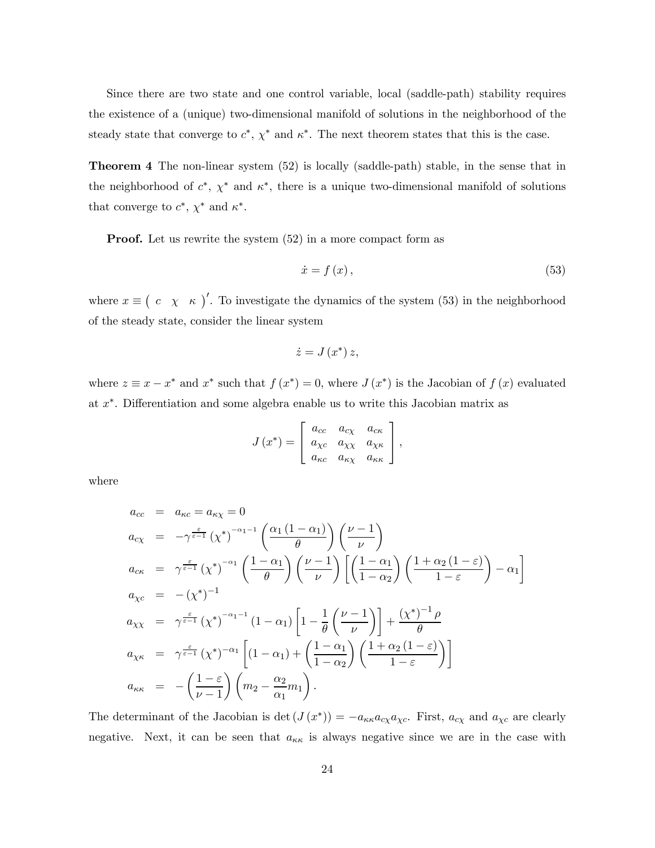Since there are two state and one control variable, local (saddle-path) stability requires the existence of a (unique) two-dimensional manifold of solutions in the neighborhood of the steady state that converge to  $c^*$ ,  $\chi^*$  and  $\kappa^*$ . The next theorem states that this is the case.

Theorem 4 The non-linear system (52) is locally (saddle-path) stable, in the sense that in the neighborhood of  $c^*$ ,  $\chi^*$  and  $\kappa^*$ , there is a unique two-dimensional manifold of solutions that converge to  $c^*, \chi^*$  and  $\kappa^*$ .

**Proof.** Let us rewrite the system  $(52)$  in a more compact form as

$$
\dot{x} = f(x),\tag{53}
$$

where  $x \equiv (c \chi \kappa)^{\prime}$ . To investigate the dynamics of the system (53) in the neighborhood of the steady state, consider the linear system

$$
\dot{z} = J\left(x^*\right)z,
$$

where  $z \equiv x - x^*$  and  $x^*$  such that  $f(x^*) = 0$ , where  $J(x^*)$  is the Jacobian of  $f(x)$  evaluated at x∗. Differentiation and some algebra enable us to write this Jacobian matrix as

$$
J(x^*) = \begin{bmatrix} a_{cc} & a_{c\chi} & a_{c\kappa} \\ a_{\chi c} & a_{\chi\chi} & a_{\chi\kappa} \\ a_{\kappa c} & a_{\kappa\chi} & a_{\kappa\kappa} \end{bmatrix},
$$

where

$$
a_{cc} = a_{\kappa c} = a_{\kappa \chi} = 0
$$
  
\n
$$
a_{c\chi} = -\gamma^{\frac{\varepsilon}{\varepsilon - 1}} (\chi^*)^{-\alpha_1 - 1} \left( \frac{\alpha_1 (1 - \alpha_1)}{\theta} \right) \left( \frac{\nu - 1}{\nu} \right)
$$
  
\n
$$
a_{c\kappa} = \gamma^{\frac{\varepsilon}{\varepsilon - 1}} (\chi^*)^{-\alpha_1} \left( \frac{1 - \alpha_1}{\theta} \right) \left( \frac{\nu - 1}{\nu} \right) \left[ \left( \frac{1 - \alpha_1}{1 - \alpha_2} \right) \left( \frac{1 + \alpha_2 (1 - \varepsilon)}{1 - \varepsilon} \right) - \alpha_1 \right]
$$
  
\n
$$
a_{\chi c} = -(\chi^*)^{-1}
$$
  
\n
$$
a_{\chi \chi} = \gamma^{\frac{\varepsilon}{\varepsilon - 1}} (\chi^*)^{-\alpha_1 - 1} (1 - \alpha_1) \left[ 1 - \frac{1}{\theta} \left( \frac{\nu - 1}{\nu} \right) \right] + \frac{(\chi^*)^{-1} \rho}{\theta}
$$
  
\n
$$
a_{\chi \kappa} = \gamma^{\frac{\varepsilon}{\varepsilon - 1}} (\chi^*)^{-\alpha_1} \left[ (1 - \alpha_1) + \left( \frac{1 - \alpha_1}{1 - \alpha_2} \right) \left( \frac{1 + \alpha_2 (1 - \varepsilon)}{1 - \varepsilon} \right) \right]
$$
  
\n
$$
a_{\kappa \kappa} = -\left( \frac{1 - \varepsilon}{\nu - 1} \right) \left( m_2 - \frac{\alpha_2}{\alpha_1} m_1 \right).
$$

The determinant of the Jacobian is det  $(J(x^*)) = -a_{\kappa\kappa}a_{c\chi}a_{\chi c}$ . First,  $a_{c\chi}$  and  $a_{\chi c}$  are clearly negative. Next, it can be seen that  $a_{\kappa\kappa}$  is always negative since we are in the case with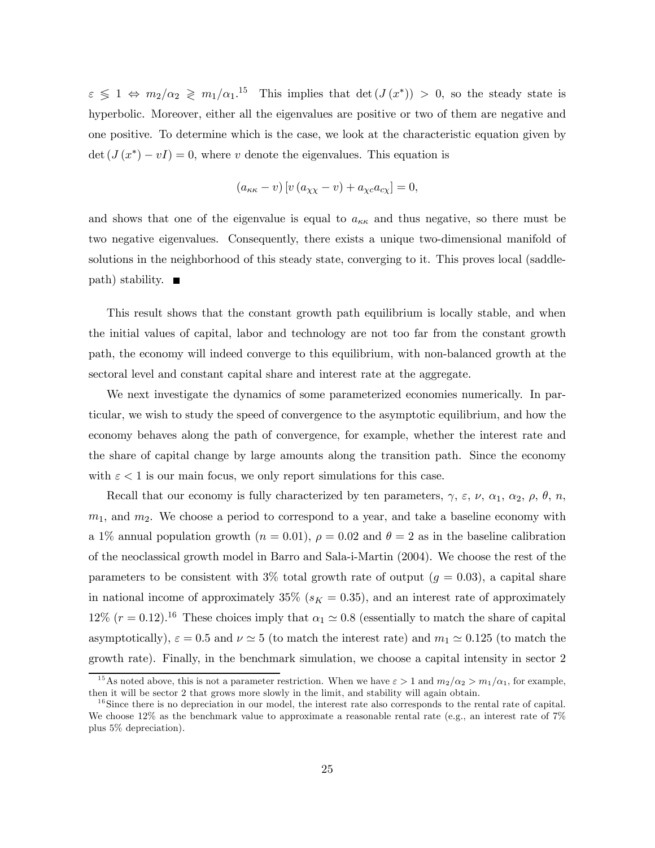$\varepsilon \leq 1 \Leftrightarrow m_2/\alpha_2 \geq m_1/\alpha_1$ <sup>15</sup> This implies that  $\det(J(x^*)) > 0$ , so the steady state is hyperbolic. Moreover, either all the eigenvalues are positive or two of them are negative and one positive. To determine which is the case, we look at the characteristic equation given by  $\det (J(x^*) - vI) = 0$ , where v denote the eigenvalues. This equation is

$$
(a_{\kappa\kappa} - v) [v (a_{\chi\chi} - v) + a_{\chi c} a_{c\chi}] = 0,
$$

and shows that one of the eigenvalue is equal to  $a_{\kappa\kappa}$  and thus negative, so there must be two negative eigenvalues. Consequently, there exists a unique two-dimensional manifold of solutions in the neighborhood of this steady state, converging to it. This proves local (saddle $path)$  stability.  $\blacksquare$ 

This result shows that the constant growth path equilibrium is locally stable, and when the initial values of capital, labor and technology are not too far from the constant growth path, the economy will indeed converge to this equilibrium, with non-balanced growth at the sectoral level and constant capital share and interest rate at the aggregate.

We next investigate the dynamics of some parameterized economies numerically. In particular, we wish to study the speed of convergence to the asymptotic equilibrium, and how the economy behaves along the path of convergence, for example, whether the interest rate and the share of capital change by large amounts along the transition path. Since the economy with  $\varepsilon < 1$  is our main focus, we only report simulations for this case.

Recall that our economy is fully characterized by ten parameters,  $\gamma$ ,  $\varepsilon$ ,  $\nu$ ,  $\alpha_1$ ,  $\alpha_2$ ,  $\rho$ ,  $\theta$ ,  $n$ ,  $m_1$ , and  $m_2$ . We choose a period to correspond to a year, and take a baseline economy with a 1% annual population growth  $(n = 0.01)$ ,  $\rho = 0.02$  and  $\theta = 2$  as in the baseline calibration of the neoclassical growth model in Barro and Sala-i-Martin (2004). We choose the rest of the parameters to be consistent with 3% total growth rate of output  $(g = 0.03)$ , a capital share in national income of approximately 35% ( $s_K = 0.35$ ), and an interest rate of approximately 12% ( $r = 0.12$ ).<sup>16</sup> These choices imply that  $\alpha_1 \simeq 0.8$  (essentially to match the share of capital asymptotically),  $\varepsilon = 0.5$  and  $\nu \approx 5$  (to match the interest rate) and  $m_1 \approx 0.125$  (to match the growth rate). Finally, in the benchmark simulation, we choose a capital intensity in sector 2

<sup>&</sup>lt;sup>15</sup>As noted above, this is not a parameter restriction. When we have  $\varepsilon > 1$  and  $m_2/\alpha_2 > m_1/\alpha_1$ , for example, then it will be sector 2 that grows more slowly in the limit, and stability will again obtain.

 $16$  Since there is no depreciation in our model, the interest rate also corresponds to the rental rate of capital. We choose 12% as the benchmark value to approximate a reasonable rental rate (e.g., an interest rate of  $7\%$ plus 5% depreciation).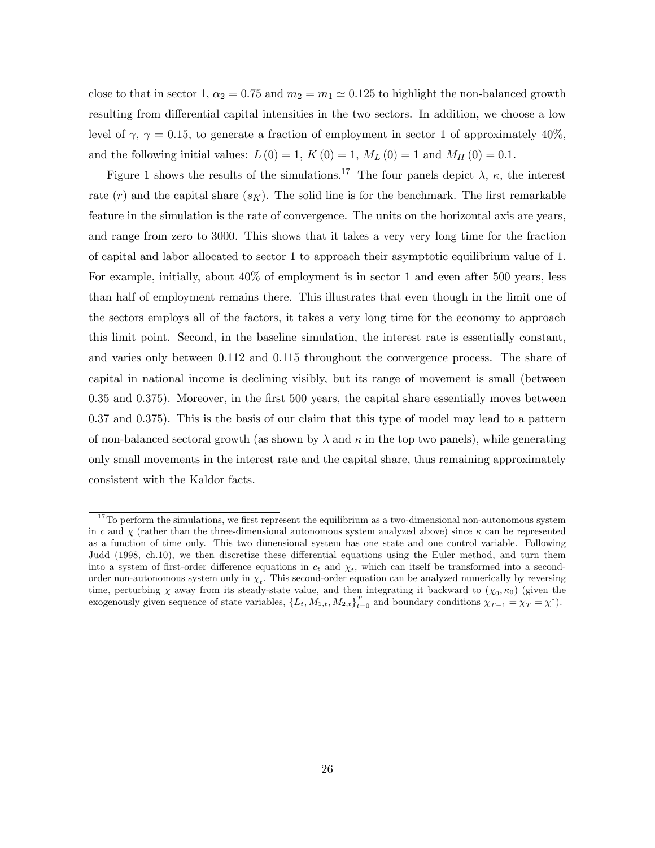close to that in sector 1,  $\alpha_2 = 0.75$  and  $m_2 = m_1 \simeq 0.125$  to highlight the non-balanced growth resulting from differential capital intensities in the two sectors. In addition, we choose a low level of  $\gamma$ ,  $\gamma = 0.15$ , to generate a fraction of employment in sector 1 of approximately 40%, and the following initial values:  $L(0) = 1, K(0) = 1, M<sub>L</sub>(0) = 1$  and  $M<sub>H</sub>(0) = 0.1$ .

Figure 1 shows the results of the simulations.<sup>17</sup> The four panels depict  $\lambda$ ,  $\kappa$ , the interest rate  $(r)$  and the capital share  $(s_K)$ . The solid line is for the benchmark. The first remarkable feature in the simulation is the rate of convergence. The units on the horizontal axis are years, and range from zero to 3000. This shows that it takes a very very long time for the fraction of capital and labor allocated to sector 1 to approach their asymptotic equilibrium value of 1. For example, initially, about 40% of employment is in sector 1 and even after 500 years, less than half of employment remains there. This illustrates that even though in the limit one of the sectors employs all of the factors, it takes a very long time for the economy to approach this limit point. Second, in the baseline simulation, the interest rate is essentially constant, and varies only between 0.112 and 0.115 throughout the convergence process. The share of capital in national income is declining visibly, but its range of movement is small (between 0.35 and 0.375). Moreover, in the first 500 years, the capital share essentially moves between 0.37 and 0.375). This is the basis of our claim that this type of model may lead to a pattern of non-balanced sectoral growth (as shown by  $\lambda$  and  $\kappa$  in the top two panels), while generating only small movements in the interest rate and the capital share, thus remaining approximately consistent with the Kaldor facts.

 $17$ To perform the simulations, we first represent the equilibrium as a two-dimensional non-autonomous system in c and  $\chi$  (rather than the three-dimensional autonomous system analyzed above) since  $\kappa$  can be represented as a function of time only. This two dimensional system has one state and one control variable. Following Judd (1998, ch.10), we then discretize these differential equations using the Euler method, and turn them into a system of first-order difference equations in  $c_t$  and  $\chi_t$ , which can itself be transformed into a secondorder non-autonomous system only in  $\chi_t$ . This second-order equation can be analyzed numerically by reversing time, perturbing  $\chi$  away from its steady-state value, and then integrating it backward to  $(\chi_0, \kappa_0)$  (given the exogenously given sequence of state variables,  $\{L_t, M_{1,t}, M_{2,t}\}_{t=0}^T$  and boundary conditions  $\chi_{T+1} = \chi_T = \chi^*$ ).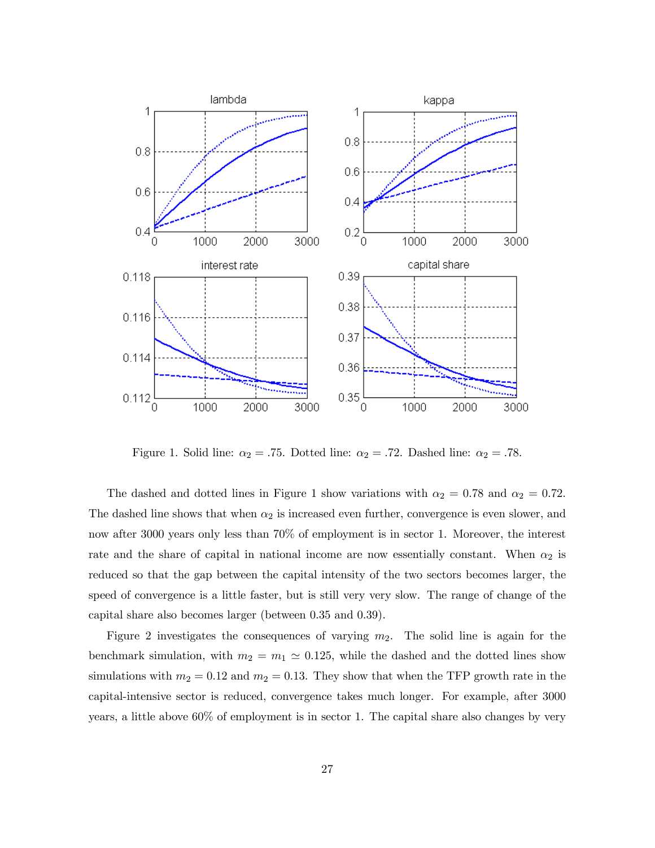

Figure 1. Solid line:  $\alpha_2 = .75$ . Dotted line:  $\alpha_2 = .72$ . Dashed line:  $\alpha_2 = .78$ .

The dashed and dotted lines in Figure 1 show variations with  $\alpha_2 = 0.78$  and  $\alpha_2 = 0.72$ . The dashed line shows that when  $\alpha_2$  is increased even further, convergence is even slower, and now after 3000 years only less than 70% of employment is in sector 1. Moreover, the interest rate and the share of capital in national income are now essentially constant. When  $\alpha_2$  is reduced so that the gap between the capital intensity of the two sectors becomes larger, the speed of convergence is a little faster, but is still very very slow. The range of change of the capital share also becomes larger (between 0.35 and 0.39).

Figure 2 investigates the consequences of varying  $m_2$ . The solid line is again for the benchmark simulation, with  $m_2 = m_1 \simeq 0.125$ , while the dashed and the dotted lines show simulations with  $m_2 = 0.12$  and  $m_2 = 0.13$ . They show that when the TFP growth rate in the capital-intensive sector is reduced, convergence takes much longer. For example, after 3000 years, a little above 60% of employment is in sector 1. The capital share also changes by very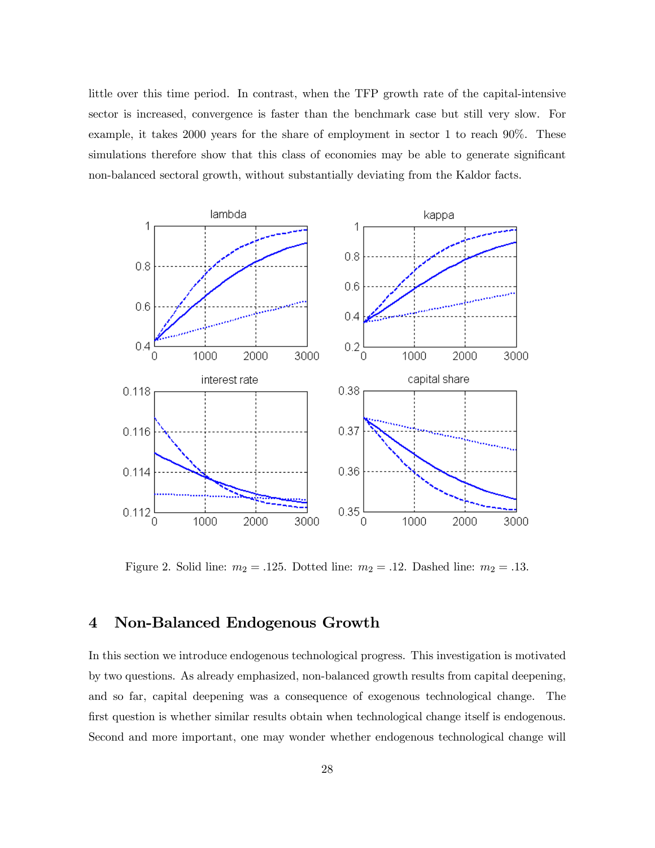little over this time period. In contrast, when the TFP growth rate of the capital-intensive sector is increased, convergence is faster than the benchmark case but still very slow. For example, it takes 2000 years for the share of employment in sector 1 to reach 90%. These simulations therefore show that this class of economies may be able to generate significant non-balanced sectoral growth, without substantially deviating from the Kaldor facts.



Figure 2. Solid line:  $m_2 = .125$ . Dotted line:  $m_2 = .12$ . Dashed line:  $m_2 = .13$ .

## 4 Non-Balanced Endogenous Growth

In this section we introduce endogenous technological progress. This investigation is motivated by two questions. As already emphasized, non-balanced growth results from capital deepening, and so far, capital deepening was a consequence of exogenous technological change. The first question is whether similar results obtain when technological change itself is endogenous. Second and more important, one may wonder whether endogenous technological change will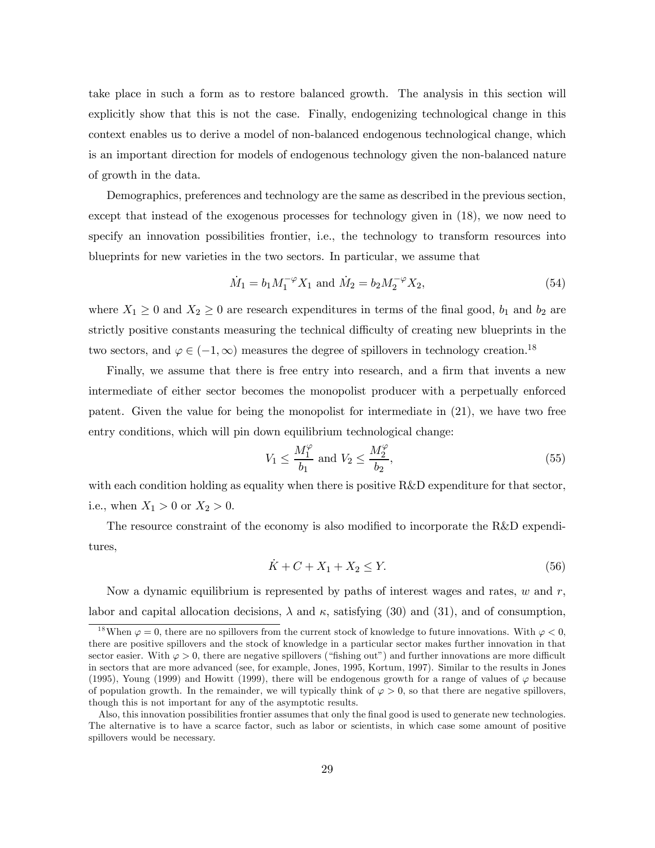take place in such a form as to restore balanced growth. The analysis in this section will explicitly show that this is not the case. Finally, endogenizing technological change in this context enables us to derive a model of non-balanced endogenous technological change, which is an important direction for models of endogenous technology given the non-balanced nature of growth in the data.

Demographics, preferences and technology are the same as described in the previous section, except that instead of the exogenous processes for technology given in (18), we now need to specify an innovation possibilities frontier, i.e., the technology to transform resources into blueprints for new varieties in the two sectors. In particular, we assume that

$$
\dot{M}_1 = b_1 M_1^{-\varphi} X_1 \text{ and } \dot{M}_2 = b_2 M_2^{-\varphi} X_2,\tag{54}
$$

where  $X_1 \geq 0$  and  $X_2 \geq 0$  are research expenditures in terms of the final good,  $b_1$  and  $b_2$  are strictly positive constants measuring the technical difficulty of creating new blueprints in the two sectors, and  $\varphi \in (-1,\infty)$  measures the degree of spillovers in technology creation.<sup>18</sup>

Finally, we assume that there is free entry into research, and a firm that invents a new intermediate of either sector becomes the monopolist producer with a perpetually enforced patent. Given the value for being the monopolist for intermediate in (21), we have two free entry conditions, which will pin down equilibrium technological change:

$$
V_1 \le \frac{M_1^{\varphi}}{b_1} \text{ and } V_2 \le \frac{M_2^{\varphi}}{b_2},\tag{55}
$$

with each condition holding as equality when there is positive R&D expenditure for that sector, i.e., when  $X_1 > 0$  or  $X_2 > 0$ .

The resource constraint of the economy is also modified to incorporate the R&D expenditures,

$$
\dot{K} + C + X_1 + X_2 \le Y. \tag{56}
$$

Now a dynamic equilibrium is represented by paths of interest wages and rates,  $w$  and  $r$ , labor and capital allocation decisions,  $\lambda$  and  $\kappa$ , satisfying (30) and (31), and of consumption,

<sup>&</sup>lt;sup>18</sup>When  $\varphi = 0$ , there are no spillovers from the current stock of knowledge to future innovations. With  $\varphi < 0$ , there are positive spillovers and the stock of knowledge in a particular sector makes further innovation in that sector easier. With  $\varphi > 0$ , there are negative spillovers ("fishing out") and further innovations are more difficult in sectors that are more advanced (see, for example, Jones, 1995, Kortum, 1997). Similar to the results in Jones (1995), Young (1999) and Howitt (1999), there will be endogenous growth for a range of values of  $\varphi$  because of population growth. In the remainder, we will typically think of  $\varphi > 0$ , so that there are negative spillovers, though this is not important for any of the asymptotic results.

Also, this innovation possibilities frontier assumes that only the final good is used to generate new technologies. The alternative is to have a scarce factor, such as labor or scientists, in which case some amount of positive spillovers would be necessary.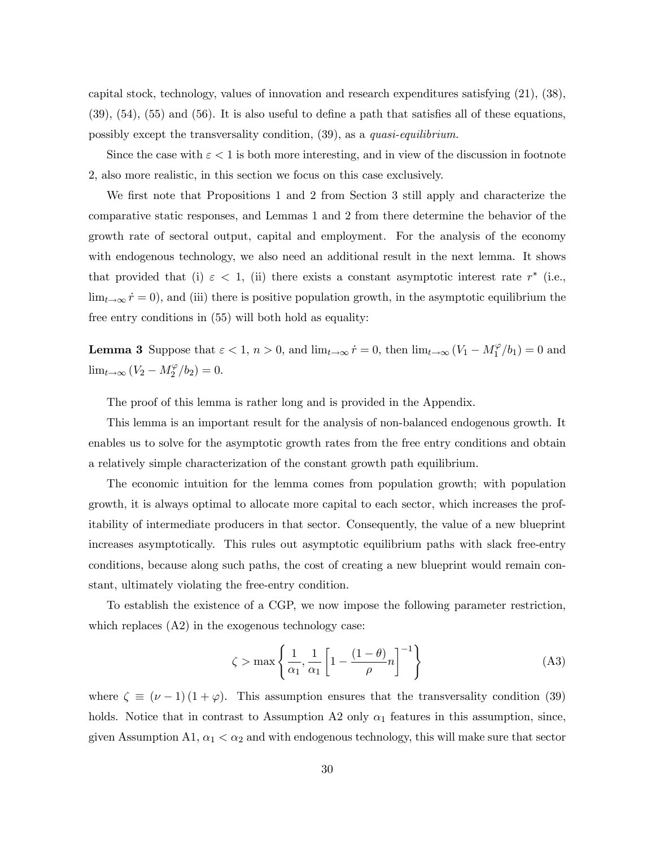capital stock, technology, values of innovation and research expenditures satisfying (21), (38), (39), (54), (55) and (56). It is also useful to define a path that satisfies all of these equations, possibly except the transversality condition, (39), as a quasi-equilibrium.

Since the case with  $\varepsilon < 1$  is both more interesting, and in view of the discussion in footnote 2, also more realistic, in this section we focus on this case exclusively.

We first note that Propositions 1 and 2 from Section 3 still apply and characterize the comparative static responses, and Lemmas 1 and 2 from there determine the behavior of the growth rate of sectoral output, capital and employment. For the analysis of the economy with endogenous technology, we also need an additional result in the next lemma. It shows that provided that (i)  $\varepsilon$  < 1, (ii) there exists a constant asymptotic interest rate r<sup>\*</sup> (i.e.,  $\lim_{t\to\infty} \dot{r} = 0$ , and (iii) there is positive population growth, in the asymptotic equilibrium the free entry conditions in (55) will both hold as equality:

**Lemma 3** Suppose that  $\varepsilon < 1$ ,  $n > 0$ , and  $\lim_{t \to \infty} \dot{r} = 0$ , then  $\lim_{t \to \infty} (V_1 - M_1^{\varphi}/b_1) = 0$  and  $\lim_{t \to \infty} (V_2 - M_2^{\varphi}/b_2) = 0.$ 

The proof of this lemma is rather long and is provided in the Appendix.

This lemma is an important result for the analysis of non-balanced endogenous growth. It enables us to solve for the asymptotic growth rates from the free entry conditions and obtain a relatively simple characterization of the constant growth path equilibrium.

The economic intuition for the lemma comes from population growth; with population growth, it is always optimal to allocate more capital to each sector, which increases the profitability of intermediate producers in that sector. Consequently, the value of a new blueprint increases asymptotically. This rules out asymptotic equilibrium paths with slack free-entry conditions, because along such paths, the cost of creating a new blueprint would remain constant, ultimately violating the free-entry condition.

To establish the existence of a CGP, we now impose the following parameter restriction, which replaces  $(A2)$  in the exogenous technology case:

$$
\zeta > \max \left\{ \frac{1}{\alpha_1}, \frac{1}{\alpha_1} \left[ 1 - \frac{(1 - \theta)}{\rho} n \right]^{-1} \right\} \tag{A3}
$$

where  $\zeta \equiv (\nu - 1)(1 + \varphi)$ . This assumption ensures that the transversality condition (39) holds. Notice that in contrast to Assumption A2 only  $\alpha_1$  features in this assumption, since, given Assumption A1,  $\alpha_1 < \alpha_2$  and with endogenous technology, this will make sure that sector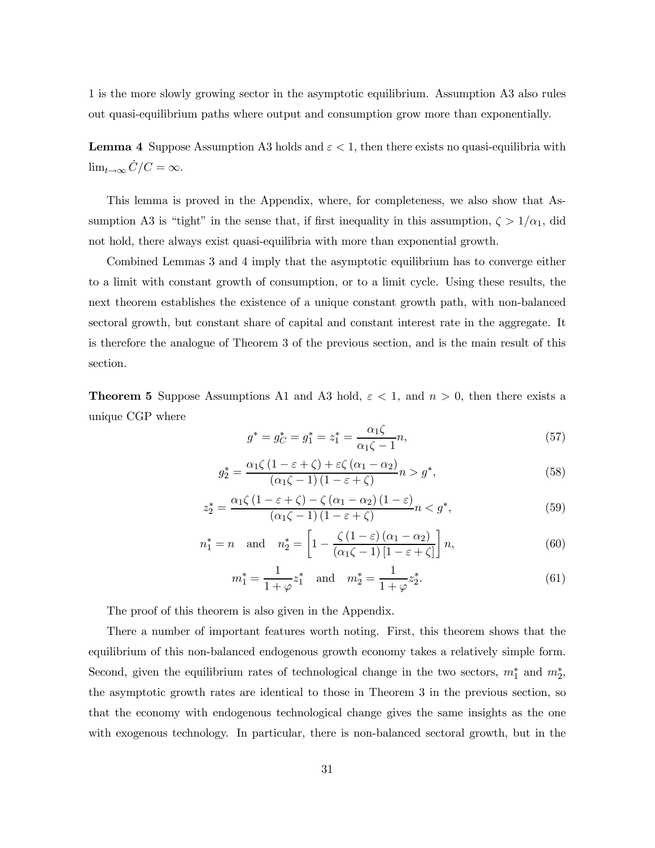1 is the more slowly growing sector in the asymptotic equilibrium. Assumption A3 also rules out quasi-equilibrium paths where output and consumption grow more than exponentially.

**Lemma 4** Suppose Assumption A3 holds and  $\varepsilon < 1$ , then there exists no quasi-equilibria with  $\lim_{t\to\infty} C/C = \infty.$ 

This lemma is proved in the Appendix, where, for completeness, we also show that Assumption A3 is "tight" in the sense that, if first inequality in this assumption,  $\zeta > 1/\alpha_1$ , did not hold, there always exist quasi-equilibria with more than exponential growth.

Combined Lemmas 3 and 4 imply that the asymptotic equilibrium has to converge either to a limit with constant growth of consumption, or to a limit cycle. Using these results, the next theorem establishes the existence of a unique constant growth path, with non-balanced sectoral growth, but constant share of capital and constant interest rate in the aggregate. It is therefore the analogue of Theorem 3 of the previous section, and is the main result of this section.

**Theorem 5** Suppose Assumptions A1 and A3 hold,  $\varepsilon < 1$ , and  $n > 0$ , then there exists a unique CGP where

$$
g^* = g_C^* = g_1^* = z_1^* = \frac{\alpha_1 \zeta}{\alpha_1 \zeta - 1} n,\tag{57}
$$

$$
g_2^* = \frac{\alpha_1 \zeta \left(1 - \varepsilon + \zeta\right) + \varepsilon \zeta \left(\alpha_1 - \alpha_2\right)}{\left(\alpha_1 \zeta - 1\right) \left(1 - \varepsilon + \zeta\right)} n > g^*,\tag{58}
$$

$$
z_2^* = \frac{\alpha_1 \zeta \left(1 - \varepsilon + \zeta\right) - \zeta \left(\alpha_1 - \alpha_2\right) \left(1 - \varepsilon\right)}{\left(\alpha_1 \zeta - 1\right) \left(1 - \varepsilon + \zeta\right)} n < g^*,\tag{59}
$$

$$
n_1^* = n \quad \text{and} \quad n_2^* = \left[1 - \frac{\zeta \left(1 - \varepsilon\right) \left(\alpha_1 - \alpha_2\right)}{\left(\alpha_1 \zeta - 1\right) \left[1 - \varepsilon + \zeta\right]}\right] n,\tag{60}
$$

$$
m_1^* = \frac{1}{1+\varphi} z_1^* \quad \text{and} \quad m_2^* = \frac{1}{1+\varphi} z_2^*.
$$
 (61)

The proof of this theorem is also given in the Appendix.

There a number of important features worth noting. First, this theorem shows that the equilibrium of this non-balanced endogenous growth economy takes a relatively simple form. Second, given the equilibrium rates of technological change in the two sectors,  $m_1^*$  and  $m_2^*$ , the asymptotic growth rates are identical to those in Theorem 3 in the previous section, so that the economy with endogenous technological change gives the same insights as the one with exogenous technology. In particular, there is non-balanced sectoral growth, but in the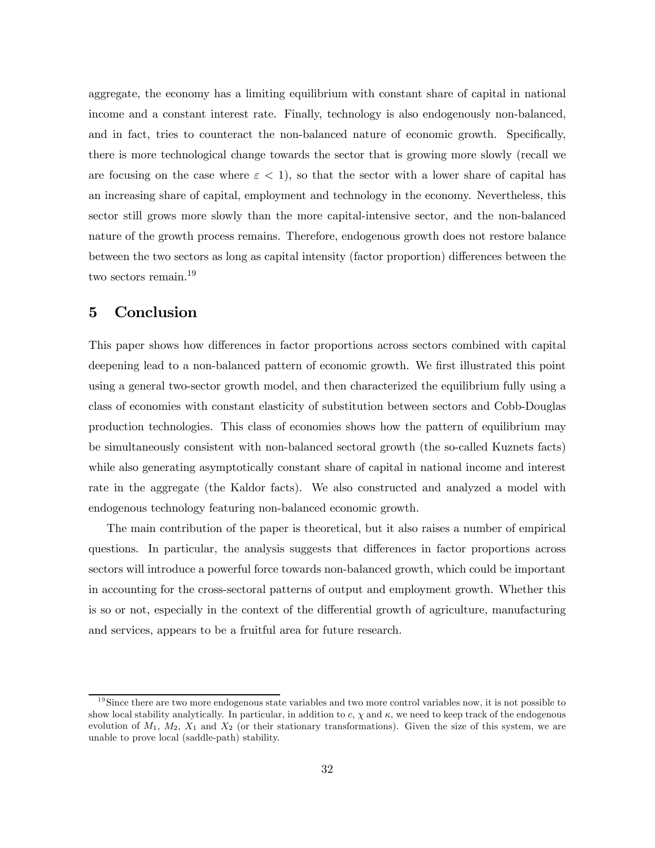aggregate, the economy has a limiting equilibrium with constant share of capital in national income and a constant interest rate. Finally, technology is also endogenously non-balanced, and in fact, tries to counteract the non-balanced nature of economic growth. Specifically, there is more technological change towards the sector that is growing more slowly (recall we are focusing on the case where  $\varepsilon < 1$ , so that the sector with a lower share of capital has an increasing share of capital, employment and technology in the economy. Nevertheless, this sector still grows more slowly than the more capital-intensive sector, and the non-balanced nature of the growth process remains. Therefore, endogenous growth does not restore balance between the two sectors as long as capital intensity (factor proportion) differences between the two sectors remain.19

# 5 Conclusion

This paper shows how differences in factor proportions across sectors combined with capital deepening lead to a non-balanced pattern of economic growth. We first illustrated this point using a general two-sector growth model, and then characterized the equilibrium fully using a class of economies with constant elasticity of substitution between sectors and Cobb-Douglas production technologies. This class of economies shows how the pattern of equilibrium may be simultaneously consistent with non-balanced sectoral growth (the so-called Kuznets facts) while also generating asymptotically constant share of capital in national income and interest rate in the aggregate (the Kaldor facts). We also constructed and analyzed a model with endogenous technology featuring non-balanced economic growth.

The main contribution of the paper is theoretical, but it also raises a number of empirical questions. In particular, the analysis suggests that differences in factor proportions across sectors will introduce a powerful force towards non-balanced growth, which could be important in accounting for the cross-sectoral patterns of output and employment growth. Whether this is so or not, especially in the context of the differential growth of agriculture, manufacturing and services, appears to be a fruitful area for future research.

 $19$ Since there are two more endogenous state variables and two more control variables now, it is not possible to show local stability analytically. In particular, in addition to c,  $\chi$  and  $\kappa$ , we need to keep track of the endogenous evolution of  $M_1, M_2, X_1$  and  $X_2$  (or their stationary transformations). Given the size of this system, we are unable to prove local (saddle-path) stability.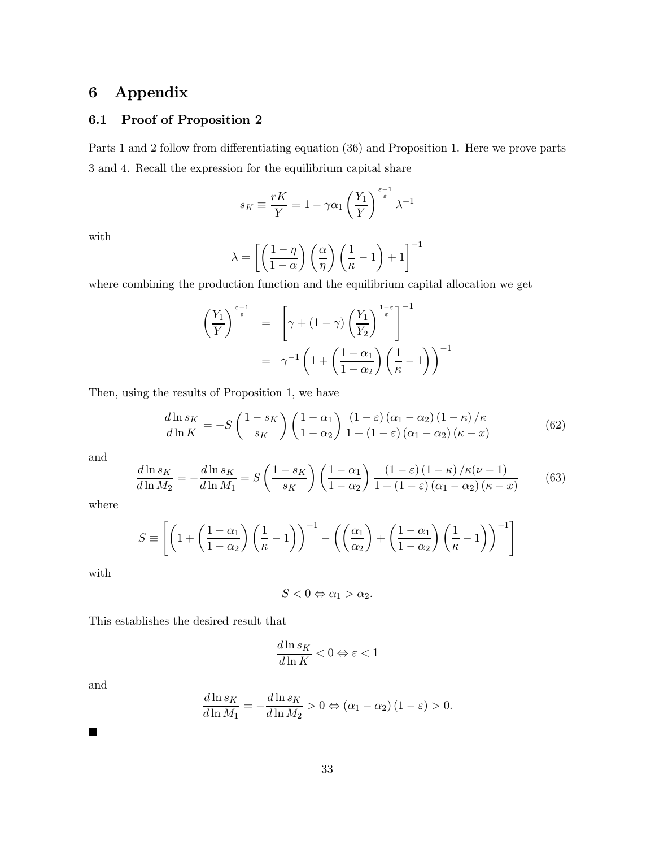# 6 Appendix

# 6.1 Proof of Proposition 2

Parts 1 and 2 follow from differentiating equation (36) and Proposition 1. Here we prove parts 3 and 4. Recall the expression for the equilibrium capital share

$$
s_K \equiv \frac{rK}{Y} = 1 - \gamma \alpha_1 \left(\frac{Y_1}{Y}\right)^{\frac{\varepsilon - 1}{\varepsilon}} \lambda^{-1}
$$

with

$$
\lambda = \left[ \left( \frac{1-\eta}{1-\alpha} \right) \left( \frac{\alpha}{\eta} \right) \left( \frac{1}{\kappa} - 1 \right) + 1 \right]^{-1}
$$

where combining the production function and the equilibrium capital allocation we get

$$
\left(\frac{Y_1}{Y}\right)^{\frac{\varepsilon-1}{\varepsilon}} = \left[\gamma + (1-\gamma)\left(\frac{Y_1}{Y_2}\right)^{\frac{1-\varepsilon}{\varepsilon}}\right]^{-1}
$$

$$
= \gamma^{-1}\left(1 + \left(\frac{1-\alpha_1}{1-\alpha_2}\right)\left(\frac{1}{\kappa} - 1\right)\right)^{-1}
$$

Then, using the results of Proposition 1, we have

$$
\frac{d\ln s_K}{d\ln K} = -S\left(\frac{1-s_K}{s_K}\right)\left(\frac{1-\alpha_1}{1-\alpha_2}\right)\frac{(1-\varepsilon)\left(\alpha_1-\alpha_2\right)\left(1-\kappa\right)/\kappa}{1+\left(1-\varepsilon\right)\left(\alpha_1-\alpha_2\right)(\kappa-x)}\tag{62}
$$

and

$$
\frac{d\ln s_K}{d\ln M_2} = -\frac{d\ln s_K}{d\ln M_1} = S\left(\frac{1 - s_K}{s_K}\right) \left(\frac{1 - \alpha_1}{1 - \alpha_2}\right) \frac{(1 - \varepsilon)(1 - \kappa)/\kappa(\nu - 1)}{1 + (1 - \varepsilon)(\alpha_1 - \alpha_2)(\kappa - x)}\tag{63}
$$

where

$$
S \equiv \left[ \left( 1 + \left( \frac{1 - \alpha_1}{1 - \alpha_2} \right) \left( \frac{1}{\kappa} - 1 \right) \right)^{-1} - \left( \left( \frac{\alpha_1}{\alpha_2} \right) + \left( \frac{1 - \alpha_1}{1 - \alpha_2} \right) \left( \frac{1}{\kappa} - 1 \right) \right)^{-1} \right]
$$

with

$$
S < 0 \Leftrightarrow \alpha_1 > \alpha_2.
$$

This establishes the desired result that

$$
\frac{d\ln s_K}{d\ln K}<0\Leftrightarrow\varepsilon<1
$$

and

 $\blacksquare$ 

$$
\frac{d\ln s_K}{d\ln M_1} = -\frac{d\ln s_K}{d\ln M_2} > 0 \Leftrightarrow (\alpha_1 - \alpha_2) (1 - \varepsilon) > 0.
$$

33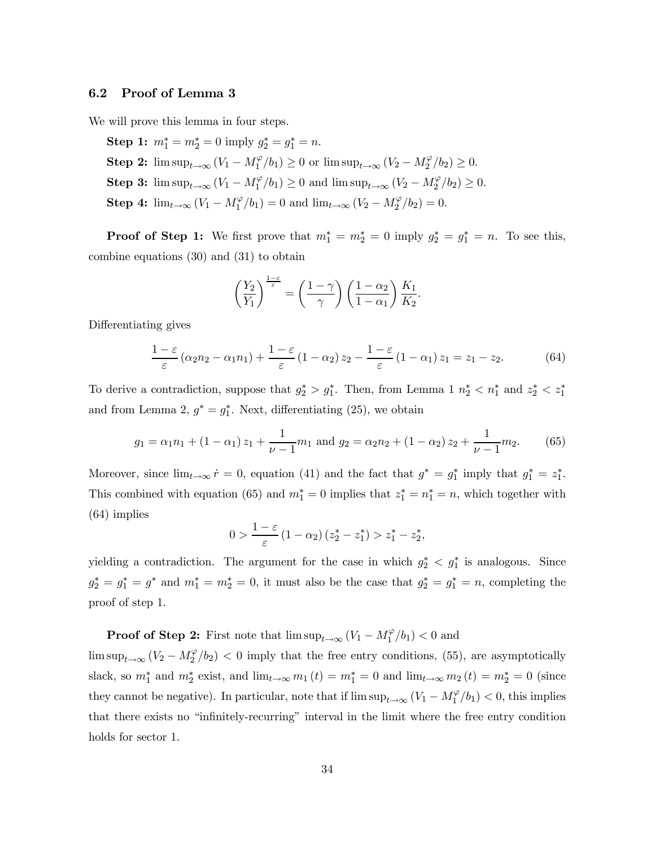#### 6.2 Proof of Lemma 3

We will prove this lemma in four steps.

Step 1:  $m_1^* = m_2^* = 0$  imply  $g_2^* = g_1^* = n$ . **Step 2:**  $\limsup_{t\to\infty} (V_1 - M_1^{\varphi}/b_1) \ge 0$  or  $\limsup_{t\to\infty} (V_2 - M_2^{\varphi}/b_2) \ge 0$ . **Step 3:**  $\limsup_{t\to\infty} (V_1 - M_1^{\varphi}/b_1) \ge 0$  and  $\limsup_{t\to\infty} (V_2 - M_2^{\varphi}/b_2) \ge 0$ . **Step 4:**  $\lim_{t \to \infty} (V_1 - M_1^{\varphi}/b_1) = 0$  and  $\lim_{t \to \infty} (V_2 - M_2^{\varphi}/b_2) = 0$ .

**Proof of Step 1:** We first prove that  $m_1^* = m_2^* = 0$  imply  $g_2^* = g_1^* = n$ . To see this, combine equations (30) and (31) to obtain

$$
\left(\frac{Y_2}{Y_1}\right)^{\frac{1-\varepsilon}{\varepsilon}} = \left(\frac{1-\gamma}{\gamma}\right)\left(\frac{1-\alpha_2}{1-\alpha_1}\right)\frac{K_1}{K_2}.
$$

Differentiating gives

$$
\frac{1-\varepsilon}{\varepsilon} \left( \alpha_2 n_2 - \alpha_1 n_1 \right) + \frac{1-\varepsilon}{\varepsilon} \left( 1 - \alpha_2 \right) z_2 - \frac{1-\varepsilon}{\varepsilon} \left( 1 - \alpha_1 \right) z_1 = z_1 - z_2. \tag{64}
$$

To derive a contradiction, suppose that  $g_2^* > g_1^*$ . Then, from Lemma 1  $n_2^* < n_1^*$  and  $z_2^* < z_1^*$ and from Lemma 2,  $g^* = g_1^*$ . Next, differentiating (25), we obtain

$$
g_1 = \alpha_1 n_1 + (1 - \alpha_1) z_1 + \frac{1}{\nu - 1} m_1
$$
 and  $g_2 = \alpha_2 n_2 + (1 - \alpha_2) z_2 + \frac{1}{\nu - 1} m_2$ . (65)

Moreover, since  $\lim_{t\to\infty} \dot{r} = 0$ , equation (41) and the fact that  $g^* = g_1^*$  imply that  $g_1^* = z_1^*$ . This combined with equation (65) and  $m_1^* = 0$  implies that  $z_1^* = n_1^* = n$ , which together with (64) implies

$$
0 > \frac{1-\varepsilon}{\varepsilon} (1-\alpha_2) (z_2^* - z_1^*) > z_1^* - z_2^*,
$$

yielding a contradiction. The argument for the case in which  $g_2^* < g_1^*$  is analogous. Since  $g_2^* = g_1^* = g^*$  and  $m_1^* = m_2^* = 0$ , it must also be the case that  $g_2^* = g_1^* = n$ , completing the proof of step 1.

**Proof of Step 2:** First note that  $\limsup_{t\to\infty} (V_1 - M_1^{\varphi}/b_1) < 0$  and

 $\limsup_{t\to\infty} (V_2 - M_2^{\varphi}/b_2) < 0$  imply that the free entry conditions, (55), are asymptotically slack, so  $m_1^*$  and  $m_2^*$  exist, and  $\lim_{t\to\infty}m_1(t)=m_1^*=0$  and  $\lim_{t\to\infty}m_2(t)=m_2^*=0$  (since they cannot be negative). In particular, note that if  $\limsup_{t\to\infty} (V_1 - M_1^{\varphi}/b_1) < 0$ , this implies that there exists no "infinitely-recurring" interval in the limit where the free entry condition holds for sector 1.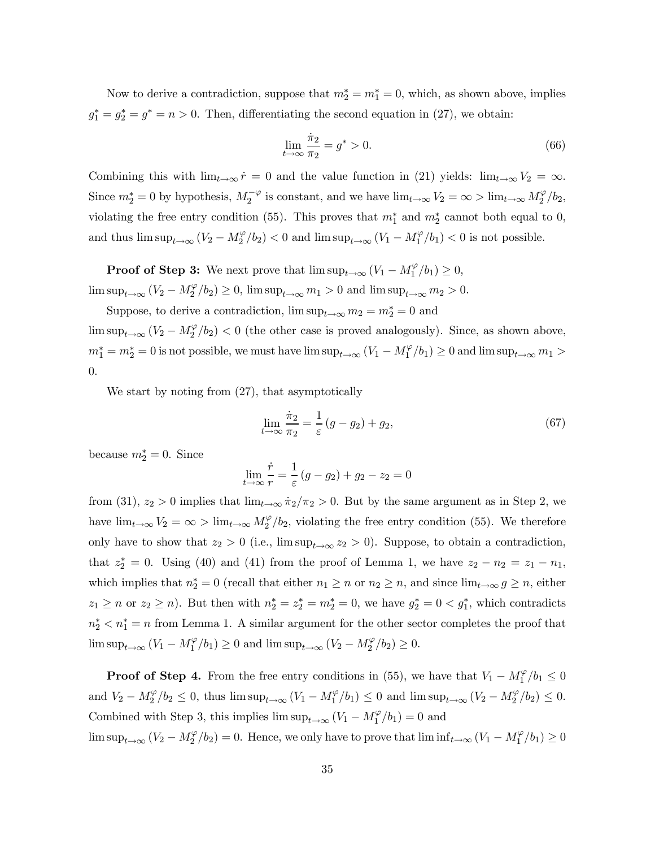Now to derive a contradiction, suppose that  $m_2^* = m_1^* = 0$ , which, as shown above, implies  $g_1^* = g_2^* = g^* = n > 0$ . Then, differentiating the second equation in (27), we obtain:

$$
\lim_{t \to \infty} \frac{\dot{\pi}_2}{\pi_2} = g^* > 0. \tag{66}
$$

Combining this with  $\lim_{t\to\infty} \dot{r} = 0$  and the value function in (21) yields:  $\lim_{t\to\infty} V_2 = \infty$ . Since  $m_2^* = 0$  by hypothesis,  $M_2^{-\varphi}$  is constant, and we have  $\lim_{t\to\infty} V_2 = \infty > \lim_{t\to\infty} M_2^{\varphi}/b_2$ , violating the free entry condition (55). This proves that  $m_1^*$  and  $m_2^*$  cannot both equal to 0, and thus  $\limsup_{t\to\infty} (V_2 - M_2^{\varphi}/b_2) < 0$  and  $\limsup_{t\to\infty} (V_1 - M_1^{\varphi}/b_1) < 0$  is not possible.

**Proof of Step 3:** We next prove that  $\limsup_{t\to\infty} (V_1 - M_1^{\varphi}/b_1) \geq 0$ ,  $\limsup_{t\to\infty} (V_2 - M_2^{\varphi}/b_2) \ge 0$ ,  $\limsup_{t\to\infty} m_1 > 0$  and  $\limsup_{t\to\infty} m_2 > 0$ .

Suppose, to derive a contradiction,  $\limsup_{t\to\infty} m_2 = m_2^* = 0$  and

 $\limsup_{t\to\infty} (V_2 - M_2^{\varphi}/b_2) < 0$  (the other case is proved analogously). Since, as shown above,  $m_1^* = m_2^* = 0$  is not possible, we must have  $\limsup_{t\to\infty} (V_1 - M_1^{\varphi}/b_1) \ge 0$  and  $\limsup_{t\to\infty} m_1 >$ 0.

We start by noting from (27), that asymptotically

$$
\lim_{t \to \infty} \frac{\dot{\pi}_2}{\pi_2} = \frac{1}{\varepsilon} \left( g - g_2 \right) + g_2,\tag{67}
$$

because  $m_2^* = 0$ . Since

$$
\lim_{t \to \infty} \frac{\dot{r}}{r} = \frac{1}{\varepsilon} (g - g_2) + g_2 - z_2 = 0
$$

from (31),  $z_2 > 0$  implies that  $\lim_{t\to\infty} \dot{\pi}_2/\pi_2 > 0$ . But by the same argument as in Step 2, we have  $\lim_{t\to\infty} V_2 = \infty$  >  $\lim_{t\to\infty} M_2^{\varphi}/b_2$ , violating the free entry condition (55). We therefore only have to show that  $z_2 > 0$  (i.e.,  $\limsup_{t\to\infty} z_2 > 0$ ). Suppose, to obtain a contradiction, that  $z_2^* = 0$ . Using (40) and (41) from the proof of Lemma 1, we have  $z_2 - n_2 = z_1 - n_1$ , which implies that  $n_2^* = 0$  (recall that either  $n_1 \ge n$  or  $n_2 \ge n$ , and since  $\lim_{t \to \infty} g \ge n$ , either  $z_1 \ge n$  or  $z_2 \ge n$ ). But then with  $n_2^* = z_2^* = m_2^* = 0$ , we have  $g_2^* = 0 < g_1^*$ , which contradicts  $n_2^* < n_1^* = n$  from Lemma 1. A similar argument for the other sector completes the proof that  $\limsup_{t\to\infty} (V_1 - M_1^{\varphi}/b_1) \ge 0$  and  $\limsup_{t\to\infty} (V_2 - M_2^{\varphi}/b_2) \ge 0$ .

**Proof of Step 4.** From the free entry conditions in (55), we have that  $V_1 - M_1^{\varphi}/b_1 \leq 0$ and  $V_2 - M_2^{\varphi}/b_2 \leq 0$ , thus  $\limsup_{t \to \infty} (V_1 - M_1^{\varphi}/b_1) \leq 0$  and  $\limsup_{t \to \infty} (V_2 - M_2^{\varphi}/b_2) \leq 0$ . Combined with Step 3, this implies  $\limsup_{t\to\infty} (V_1 - M_1^{\varphi}/b_1) = 0$  and

 $\limsup_{t\to\infty} (V_2 - M_2^{\varphi}/b_2) = 0.$  Hence, we only have to prove that  $\liminf_{t\to\infty} (V_1 - M_1^{\varphi}/b_1) \ge 0$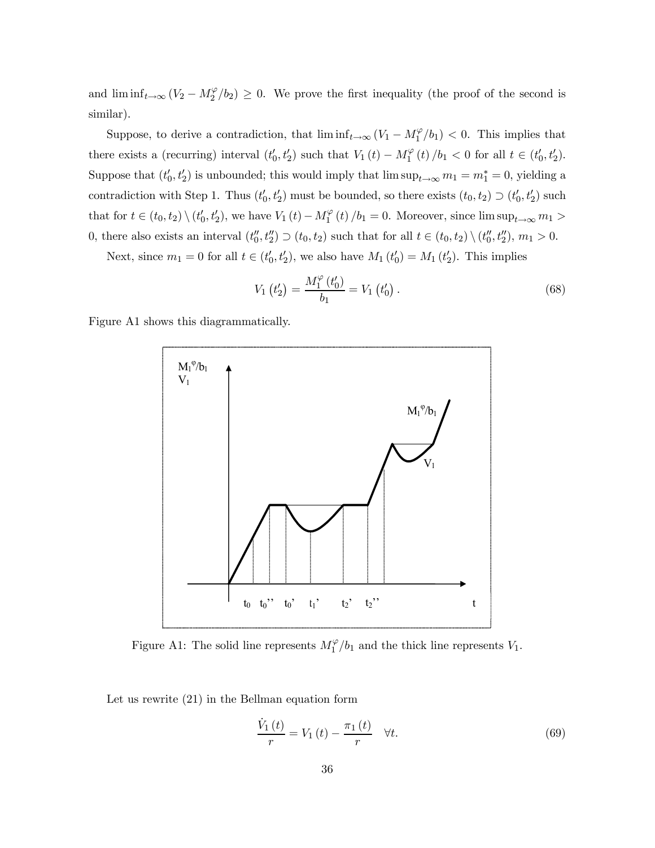and  $\liminf_{t\to\infty} (V_2 - M_2^{\varphi}/b_2) \geq 0$ . We prove the first inequality (the proof of the second is similar).

Suppose, to derive a contradiction, that  $\liminf_{t\to\infty} (V_1 - M_1^{\varphi}/b_1) < 0$ . This implies that there exists a (recurring) interval  $(t'_0, t'_2)$  such that  $V_1(t) - M_1^{\varphi}(t)/b_1 < 0$  for all  $t \in (t'_0, t'_2)$ . Suppose that  $(t'_0, t'_2)$  is unbounded; this would imply that  $\limsup_{t\to\infty} m_1 = m_1^* = 0$ , yielding a contradiction with Step 1. Thus  $(t'_0, t'_2)$  must be bounded, so there exists  $(t_0, t_2) \supset (t'_0, t'_2)$  such that for  $t \in (t_0, t_2) \setminus (t'_0, t'_2)$ , we have  $V_1(t) - M_1^{\varphi}(t) / b_1 = 0$ . Moreover, since  $\limsup_{t \to \infty} m_1 >$ 0, there also exists an interval  $(t''_0, t''_2) \supset (t_0, t_2)$  such that for all  $t \in (t_0, t_2) \setminus (t''_0, t''_2)$ ,  $m_1 > 0$ .

Next, since  $m_1 = 0$  for all  $t \in (t'_0, t'_2)$ , we also have  $M_1(t'_0) = M_1(t'_2)$ . This implies

$$
V_1(t'_2) = \frac{M_1^{\varphi}(t'_0)}{b_1} = V_1(t'_0).
$$
\n(68)

Figure A1 shows this diagrammatically.



Figure A1: The solid line represents  $M_1^{\varphi}/b_1$  and the thick line represents  $V_1$ .

Let us rewrite (21) in the Bellman equation form

$$
\frac{\dot{V}_1(t)}{r} = V_1(t) - \frac{\pi_1(t)}{r} \quad \forall t.
$$
\n
$$
(69)
$$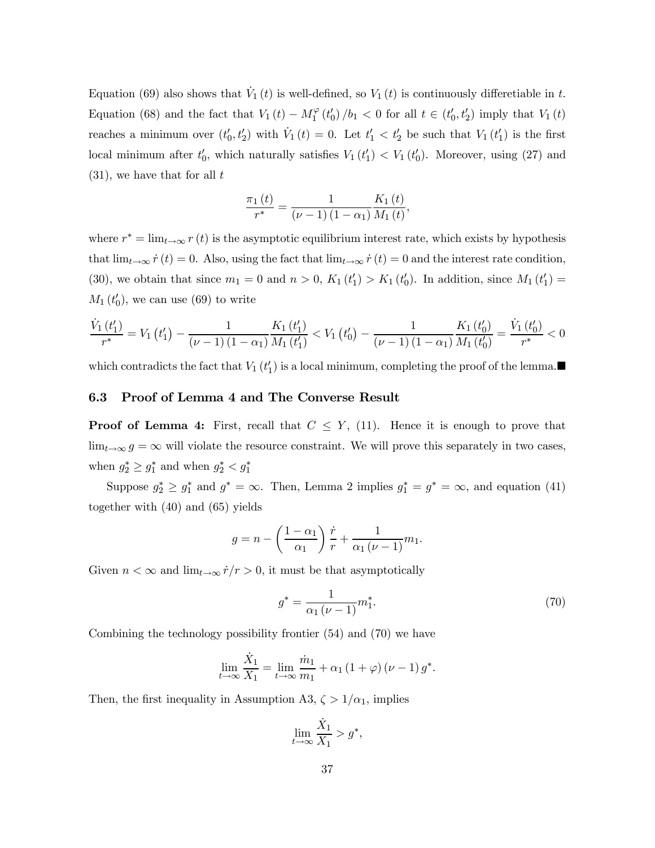Equation (69) also shows that  $\dot{V}_1(t)$  is well-defined, so  $V_1(t)$  is continuously differetiable in t. Equation (68) and the fact that  $V_1(t) - M_1^{\varphi}(t_0')/b_1 < 0$  for all  $t \in (t_0', t_2')$  imply that  $V_1(t)$ reaches a minimum over  $(t'_0, t'_2)$  with  $\dot{V}_1(t) = 0$ . Let  $t'_1 < t'_2$  be such that  $V_1(t'_1)$  is the first local minimum after  $t_0'$ , which naturally satisfies  $V_1(t_1') < V_1(t_0')$ . Moreover, using (27) and  $(31)$ , we have that for all t

$$
\frac{\pi_1(t)}{r^*} = \frac{1}{(\nu - 1)(1 - \alpha_1)} \frac{K_1(t)}{M_1(t)},
$$

where  $r^* = \lim_{t \to \infty} r(t)$  is the asymptotic equilibrium interest rate, which exists by hypothesis that  $\lim_{t\to\infty}\dot{r}(t)=0$ . Also, using the fact that  $\lim_{t\to\infty}\dot{r}(t)=0$  and the interest rate condition, (30), we obtain that since  $m_1 = 0$  and  $n > 0$ ,  $K_1(t'_1) > K_1(t'_0)$ . In addition, since  $M_1(t'_1) =$  $M_1(t'_0)$ , we can use (69) to write

$$
\frac{\dot{V}_1(t'_1)}{r^*} = V_1(t'_1) - \frac{1}{(\nu - 1)(1 - \alpha_1)} \frac{K_1(t'_1)}{M_1(t'_1)} < V_1(t'_0) - \frac{1}{(\nu - 1)(1 - \alpha_1)} \frac{K_1(t'_0)}{M_1(t'_0)} = \frac{\dot{V}_1(t'_0)}{r^*} < 0
$$

which contradicts the fact that  $V_1(t'_1)$  is a local minimum, completing the proof of the lemma.

### 6.3 Proof of Lemma 4 and The Converse Result

**Proof of Lemma 4:** First, recall that  $C \leq Y$ , (11). Hence it is enough to prove that  $\lim_{t\to\infty} g = \infty$  will violate the resource constraint. We will prove this separately in two cases, when  $g_2^* \geq g_1^*$  and when  $g_2^* < g_1^*$ 

Suppose  $g_2^* \geq g_1^*$  and  $g^* = \infty$ . Then, Lemma 2 implies  $g_1^* = g^* = \infty$ , and equation (41) together with (40) and (65) yields

$$
g = n - \left(\frac{1 - \alpha_1}{\alpha_1}\right) \frac{\dot{r}}{r} + \frac{1}{\alpha_1 (\nu - 1)} m_1.
$$

Given  $n < \infty$  and  $\lim_{t\to\infty} \dot{r}/r > 0$ , it must be that asymptotically

$$
g^* = \frac{1}{\alpha_1 (\nu - 1)} m_1^*.
$$
\n(70)

Combining the technology possibility frontier (54) and (70) we have

$$
\lim_{t \to \infty} \frac{\dot{X}_1}{X_1} = \lim_{t \to \infty} \frac{\dot{m}_1}{m_1} + \alpha_1 (1 + \varphi) (\nu - 1) g^*.
$$

Then, the first inequality in Assumption A3,  $\zeta > 1/\alpha_1$ , implies

$$
\lim_{t \to \infty} \frac{\dot{X}_1}{X_1} > g^*,
$$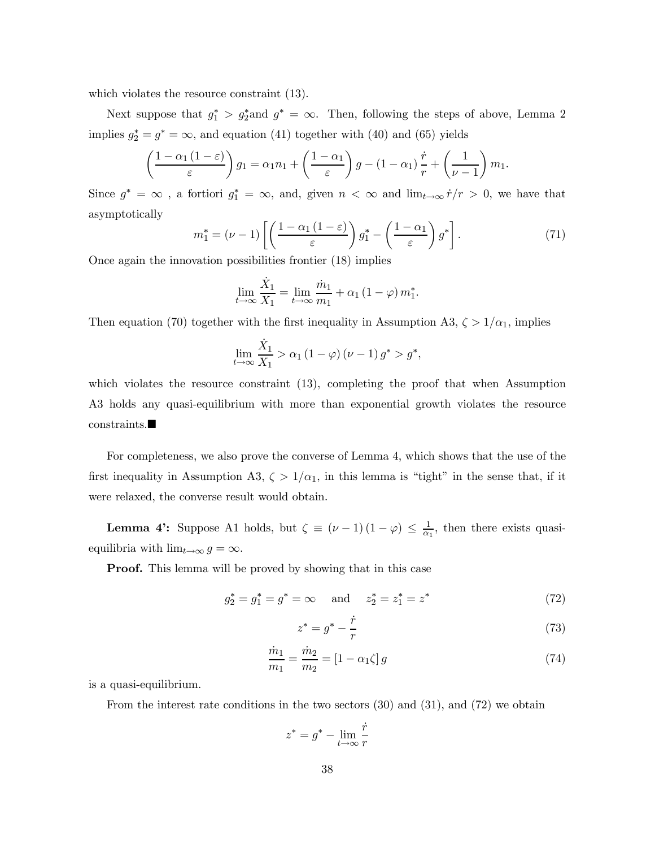which violates the resource constraint  $(13)$ .

Next suppose that  $g_1^* > g_2^*$  and  $g^* = \infty$ . Then, following the steps of above, Lemma 2 implies  $g_2^* = g^* = \infty$ , and equation (41) together with (40) and (65) yields

$$
\left(\frac{1-\alpha_1(1-\varepsilon)}{\varepsilon}\right)g_1 = \alpha_1 n_1 + \left(\frac{1-\alpha_1}{\varepsilon}\right)g - (1-\alpha_1)\frac{\dot{r}}{r} + \left(\frac{1}{\nu-1}\right)m_1.
$$

Since  $g^* = \infty$ , a fortiori  $g_1^* = \infty$ , and, given  $n < \infty$  and  $\lim_{t \to \infty} r/r > 0$ , we have that asymptotically

$$
m_1^* = (\nu - 1) \left[ \left( \frac{1 - \alpha_1 (1 - \varepsilon)}{\varepsilon} \right) g_1^* - \left( \frac{1 - \alpha_1}{\varepsilon} \right) g^* \right]. \tag{71}
$$

Once again the innovation possibilities frontier (18) implies

$$
\lim_{t \to \infty} \frac{\dot{X}_1}{X_1} = \lim_{t \to \infty} \frac{\dot{m}_1}{m_1} + \alpha_1 (1 - \varphi) m_1^*.
$$

Then equation (70) together with the first inequality in Assumption A3,  $\zeta > 1/\alpha_1$ , implies

$$
\lim_{t \to \infty} \frac{\dot{X}_1}{X_1} > \alpha_1 \left( 1 - \varphi \right) \left( \nu - 1 \right) g^* > g^*,
$$

which violates the resource constraint  $(13)$ , completing the proof that when Assumption A3 holds any quasi-equilibrium with more than exponential growth violates the resource  $const$ raints.

For completeness, we also prove the converse of Lemma 4, which shows that the use of the first inequality in Assumption A3,  $\zeta > 1/\alpha_1$ , in this lemma is "tight" in the sense that, if it were relaxed, the converse result would obtain.

**Lemma 4':** Suppose A1 holds, but  $\zeta \equiv (\nu - 1)(1 - \varphi) \leq \frac{1}{\alpha_1}$ , then there exists quasiequilibria with  $\lim_{t\to\infty} g = \infty$ .

**Proof.** This lemma will be proved by showing that in this case

$$
g_2^* = g_1^* = g^* = \infty
$$
 and  $z_2^* = z_1^* = z^*$  (72)

$$
z^* = g^* - \frac{\dot{r}}{r} \tag{73}
$$

$$
\frac{\dot{m}_1}{m_1} = \frac{\dot{m}_2}{m_2} = [1 - \alpha_1 \zeta] g \tag{74}
$$

is a quasi-equilibrium.

From the interest rate conditions in the two sectors (30) and (31), and (72) we obtain

$$
z^* = g^* - \lim_{t \to \infty} \frac{\dot{r}}{r}
$$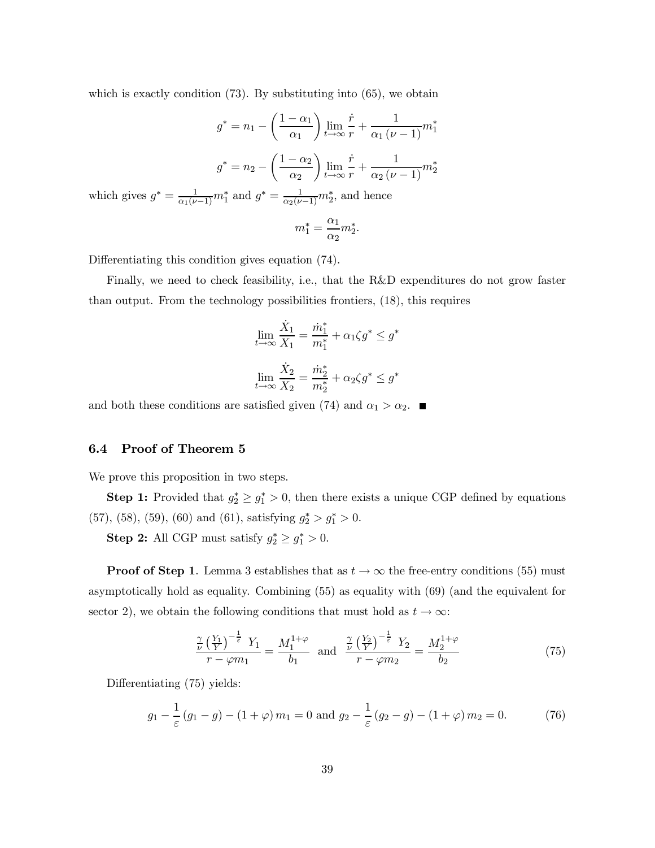which is exactly condition  $(73)$ . By substituting into  $(65)$ , we obtain

$$
g^* = n_1 - \left(\frac{1-\alpha_1}{\alpha_1}\right) \lim_{t \to \infty} \frac{\dot{r}}{r} + \frac{1}{\alpha_1(\nu-1)} m_1^*
$$

$$
g^* = n_2 - \left(\frac{1-\alpha_2}{\alpha_2}\right) \lim_{t \to \infty} \frac{\dot{r}}{r} + \frac{1}{\alpha_2(\nu-1)} m_2^*
$$
which gives  $g^* = \frac{1}{\alpha_1(\nu-1)} m_1^*$  and  $g^* = \frac{1}{\alpha_2(\nu-1)} m_2^*$ , and hence
$$
m_1^* = \frac{\alpha_1}{\alpha_2} m_2^*.
$$

Differentiating this condition gives equation (74).

Finally, we need to check feasibility, i.e., that the R&D expenditures do not grow faster than output. From the technology possibilities frontiers, (18), this requires

$$
\lim_{t \to \infty} \frac{\dot{X}_1}{X_1} = \frac{\dot{m}_1^*}{m_1^*} + \alpha_1 \zeta g^* \le g^*
$$

$$
\lim_{t \to \infty} \frac{\dot{X}_2}{X_2} = \frac{\dot{m}_2^*}{m_2^*} + \alpha_2 \zeta g^* \le g^*
$$

and both these conditions are satisfied given (74) and  $\alpha_1 > \alpha_2$ .

### 6.4 Proof of Theorem 5

We prove this proposition in two steps.

**Step 1:** Provided that  $g_2^* \geq g_1^* > 0$ , then there exists a unique CGP defined by equations (57), (58), (59), (60) and (61), satisfying  $g_2^* > g_1^* > 0$ .

Step 2: All CGP must satisfy  $g_2^* \ge g_1^* > 0$ .

**Proof of Step 1.** Lemma 3 establishes that as  $t \to \infty$  the free-entry conditions (55) must asymptotically hold as equality. Combining (55) as equality with (69) (and the equivalent for sector 2), we obtain the following conditions that must hold as  $t \to \infty$ :

$$
\frac{\frac{\gamma}{\nu}\left(\frac{Y_1}{Y}\right)^{-\frac{1}{\varepsilon}}Y_1}{r-\varphi m_1} = \frac{M_1^{1+\varphi}}{b_1} \quad \text{and} \quad \frac{\frac{\gamma}{\nu}\left(\frac{Y_2}{Y}\right)^{-\frac{1}{\varepsilon}}Y_2}{r-\varphi m_2} = \frac{M_2^{1+\varphi}}{b_2} \tag{75}
$$

Differentiating (75) yields:

$$
g_1 - \frac{1}{\varepsilon} (g_1 - g) - (1 + \varphi) m_1 = 0 \text{ and } g_2 - \frac{1}{\varepsilon} (g_2 - g) - (1 + \varphi) m_2 = 0.
$$
 (76)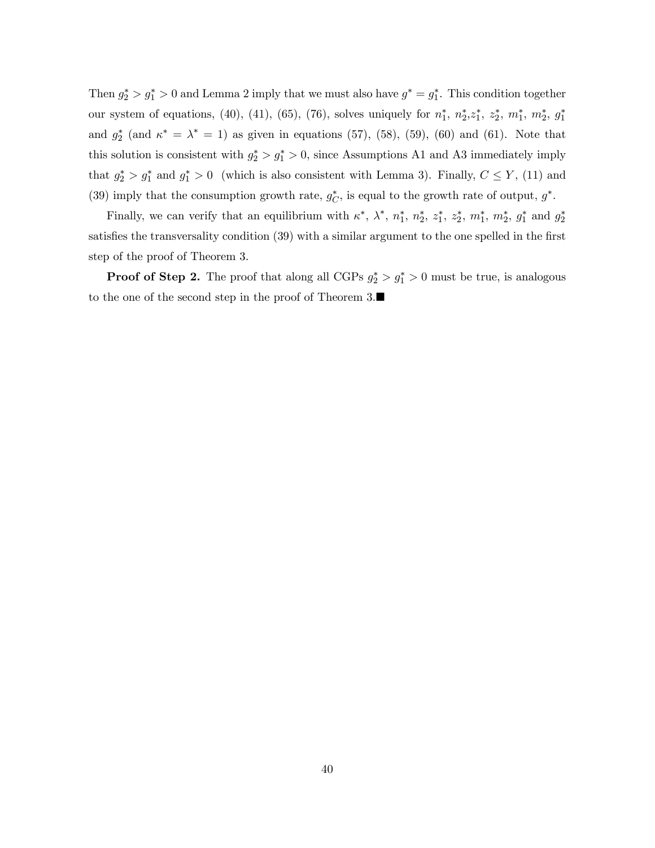Then  $g_2^* > g_1^* > 0$  and Lemma 2 imply that we must also have  $g^* = g_1^*$ . This condition together our system of equations, (40), (41), (65), (76), solves uniquely for  $n_1^*, n_2^*, z_1^*, z_2^*, m_1^*, m_2^*, g_1^*$ and  $g_2^*$  (and  $\kappa^* = \lambda^* = 1$ ) as given in equations (57), (58), (59), (60) and (61). Note that this solution is consistent with  $g_2^* > g_1^* > 0$ , since Assumptions A1 and A3 immediately imply that  $g_2^* > g_1^*$  and  $g_1^* > 0$  (which is also consistent with Lemma 3). Finally,  $C \leq Y$ , (11) and (39) imply that the consumption growth rate,  $g_C^*$ , is equal to the growth rate of output,  $g^*$ .

Finally, we can verify that an equilibrium with  $\kappa^*$ ,  $\lambda^*$ ,  $n_1^*$ ,  $n_2^*$ ,  $z_1^*$ ,  $z_2^*$ ,  $m_1^*$ ,  $m_2^*$ ,  $g_1^*$  and  $g_2^*$ satisfies the transversality condition (39) with a similar argument to the one spelled in the first step of the proof of Theorem 3.

**Proof of Step 2.** The proof that along all CGPs  $g_2^* > g_1^* > 0$  must be true, is analogous to the one of the second step in the proof of Theorem  $3.\blacksquare$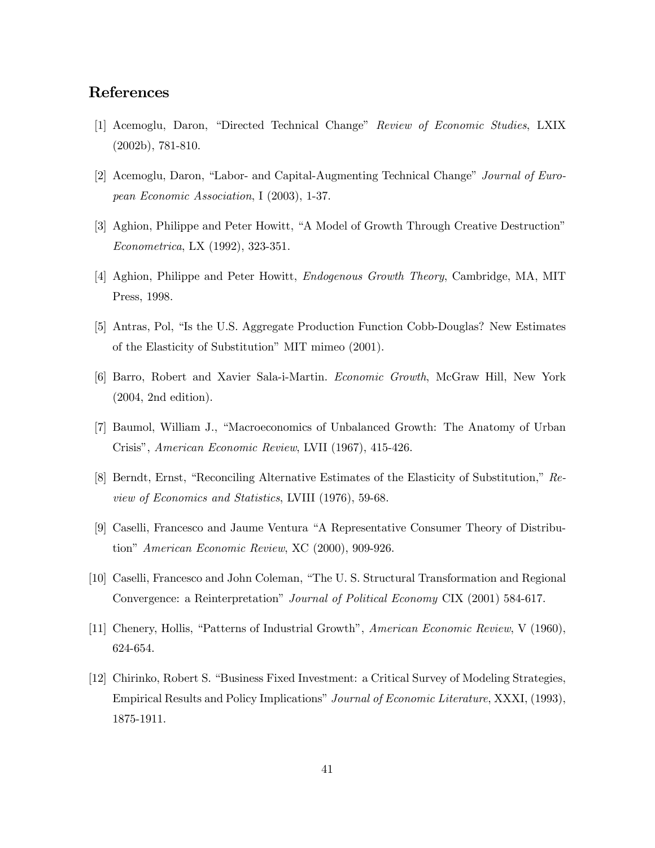### References

- [1] Acemoglu, Daron, "Directed Technical Change" Review of Economic Studies, LXIX (2002b), 781-810.
- [2] Acemoglu, Daron, "Labor- and Capital-Augmenting Technical Change" Journal of European Economic Association, I (2003), 1-37.
- [3] Aghion, Philippe and Peter Howitt, "A Model of Growth Through Creative Destruction" Econometrica, LX (1992), 323-351.
- [4] Aghion, Philippe and Peter Howitt, Endogenous Growth Theory, Cambridge, MA, MIT Press, 1998.
- [5] Antras, Pol, "Is the U.S. Aggregate Production Function Cobb-Douglas? New Estimates of the Elasticity of Substitution" MIT mimeo (2001).
- [6] Barro, Robert and Xavier Sala-i-Martin. Economic Growth, McGraw Hill, New York (2004, 2nd edition).
- [7] Baumol, William J., "Macroeconomics of Unbalanced Growth: The Anatomy of Urban Crisis", American Economic Review, LVII (1967), 415-426.
- [8] Berndt, Ernst, "Reconciling Alternative Estimates of the Elasticity of Substitution," Review of Economics and Statistics, LVIII (1976), 59-68.
- [9] Caselli, Francesco and Jaume Ventura "A Representative Consumer Theory of Distribution" American Economic Review, XC (2000), 909-926.
- [10] Caselli, Francesco and John Coleman, "The U. S. Structural Transformation and Regional Convergence: a Reinterpretation" Journal of Political Economy CIX (2001) 584-617.
- [11] Chenery, Hollis, "Patterns of Industrial Growth", American Economic Review, V (1960), 624-654.
- [12] Chirinko, Robert S. "Business Fixed Investment: a Critical Survey of Modeling Strategies, Empirical Results and Policy Implications" Journal of Economic Literature, XXXI, (1993), 1875-1911.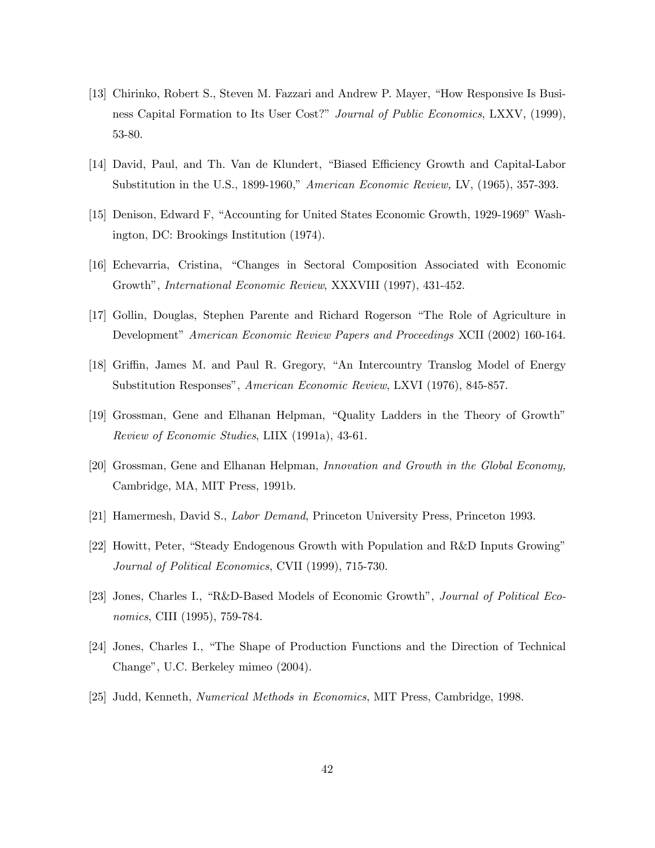- [13] Chirinko, Robert S., Steven M. Fazzari and Andrew P. Mayer, "How Responsive Is Business Capital Formation to Its User Cost?" Journal of Public Economics, LXXV, (1999), 53-80.
- [14] David, Paul, and Th. Van de Klundert, "Biased Efficiency Growth and Capital-Labor Substitution in the U.S., 1899-1960," American Economic Review, LV, (1965), 357-393.
- [15] Denison, Edward F, "Accounting for United States Economic Growth, 1929-1969" Washington, DC: Brookings Institution (1974).
- [16] Echevarria, Cristina, "Changes in Sectoral Composition Associated with Economic Growth", International Economic Review, XXXVIII (1997), 431-452.
- [17] Gollin, Douglas, Stephen Parente and Richard Rogerson "The Role of Agriculture in Development" American Economic Review Papers and Proceedings XCII (2002) 160-164.
- [18] Griffin, James M. and Paul R. Gregory, "An Intercountry Translog Model of Energy Substitution Responses", American Economic Review, LXVI (1976), 845-857.
- [19] Grossman, Gene and Elhanan Helpman, "Quality Ladders in the Theory of Growth" Review of Economic Studies, LIIX (1991a), 43-61.
- [20] Grossman, Gene and Elhanan Helpman, Innovation and Growth in the Global Economy, Cambridge, MA, MIT Press, 1991b.
- [21] Hamermesh, David S., Labor Demand, Princeton University Press, Princeton 1993.
- [22] Howitt, Peter, "Steady Endogenous Growth with Population and R&D Inputs Growing" Journal of Political Economics, CVII (1999), 715-730.
- [23] Jones, Charles I., "R&D-Based Models of Economic Growth", Journal of Political Economics, CIII (1995), 759-784.
- [24] Jones, Charles I., "The Shape of Production Functions and the Direction of Technical Change", U.C. Berkeley mimeo (2004).
- [25] Judd, Kenneth, Numerical Methods in Economics, MIT Press, Cambridge, 1998.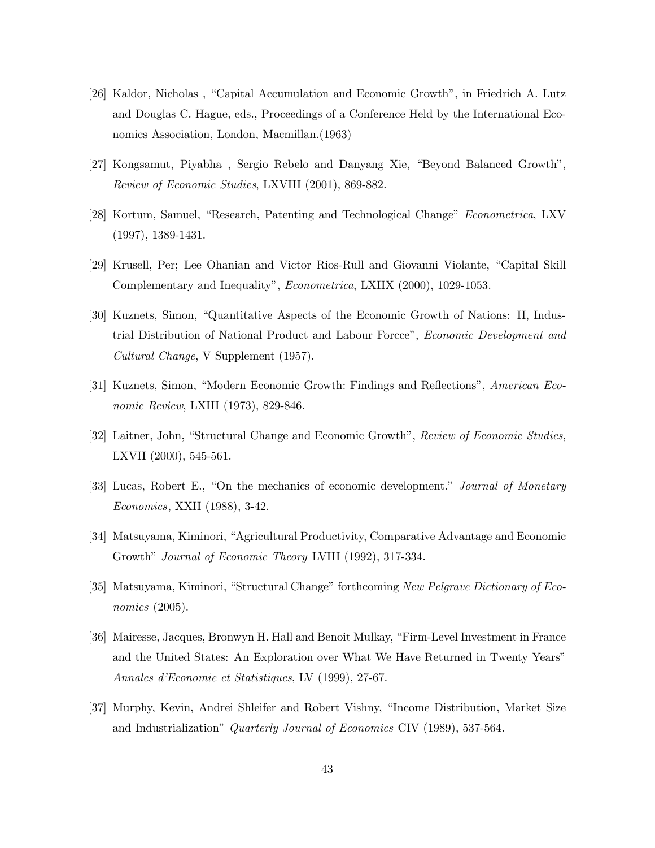- [26] Kaldor, Nicholas , "Capital Accumulation and Economic Growth", in Friedrich A. Lutz and Douglas C. Hague, eds., Proceedings of a Conference Held by the International Economics Association, London, Macmillan.(1963)
- [27] Kongsamut, Piyabha , Sergio Rebelo and Danyang Xie, "Beyond Balanced Growth", Review of Economic Studies, LXVIII (2001), 869-882.
- [28] Kortum, Samuel, "Research, Patenting and Technological Change" Econometrica, LXV (1997), 1389-1431.
- [29] Krusell, Per; Lee Ohanian and Victor Rios-Rull and Giovanni Violante, "Capital Skill Complementary and Inequality", Econometrica, LXIIX (2000), 1029-1053.
- [30] Kuznets, Simon, "Quantitative Aspects of the Economic Growth of Nations: II, Industrial Distribution of National Product and Labour Forcce", Economic Development and Cultural Change, V Supplement (1957).
- [31] Kuznets, Simon, "Modern Economic Growth: Findings and Reflections", American Economic Review, LXIII (1973), 829-846.
- [32] Laitner, John, "Structural Change and Economic Growth", Review of Economic Studies, LXVII (2000), 545-561.
- [33] Lucas, Robert E., "On the mechanics of economic development." Journal of Monetary Economics, XXII (1988), 3-42.
- [34] Matsuyama, Kiminori, "Agricultural Productivity, Comparative Advantage and Economic Growth" Journal of Economic Theory LVIII (1992), 317-334.
- [35] Matsuyama, Kiminori, "Structural Change" forthcoming New Pelgrave Dictionary of Economics (2005).
- [36] Mairesse, Jacques, Bronwyn H. Hall and Benoit Mulkay, "Firm-Level Investment in France and the United States: An Exploration over What We Have Returned in Twenty Years" Annales d'Economie et Statistiques, LV (1999), 27-67.
- [37] Murphy, Kevin, Andrei Shleifer and Robert Vishny, "Income Distribution, Market Size and Industrialization" Quarterly Journal of Economics CIV (1989), 537-564.